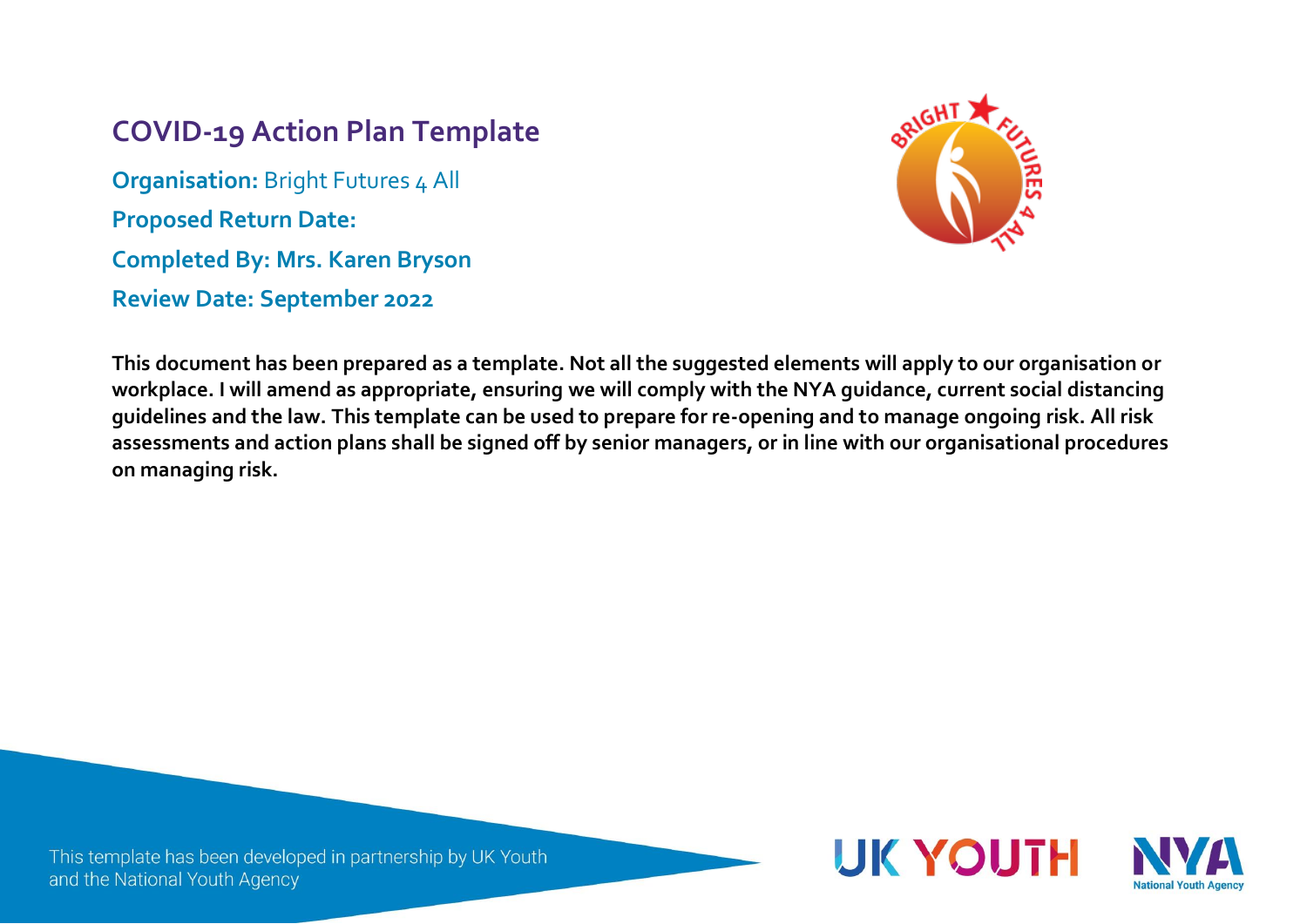# **COVID-19 Action Plan Template**

**Organisation: Bright Futures 4 All Proposed Return Date: Completed By: Mrs. Karen Bryson Review Date: September 2022**



**This document has been prepared as a template. Not all the suggested elements will apply to our organisation or workplace. I will amend as appropriate, ensuring we will comply with the NYA guidance, current social distancing guidelines and the law. This template can be used to prepare for re-opening and to manage ongoing risk. All risk assessments and action plans shall be signed off by senior managers, or in line with our organisational procedures on managing risk.**

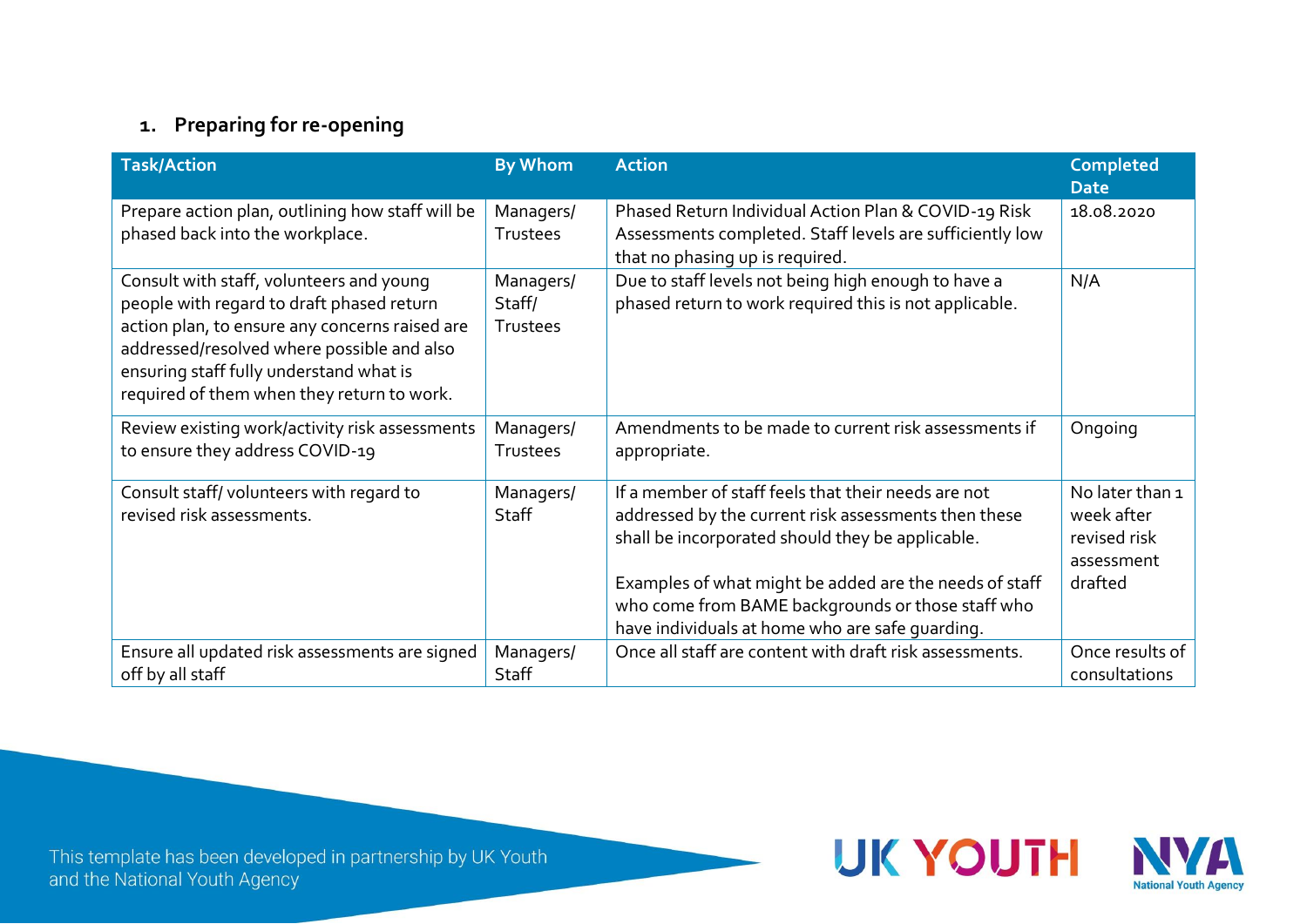# **1. Preparing for re-opening**

| <b>Task/Action</b>                                                                                                                                                                                                                                                             | <b>By Whom</b>                  | <b>Action</b>                                                                                                                                                                                                                                                                                                                     | <b>Completed</b><br><b>Date</b>                                        |
|--------------------------------------------------------------------------------------------------------------------------------------------------------------------------------------------------------------------------------------------------------------------------------|---------------------------------|-----------------------------------------------------------------------------------------------------------------------------------------------------------------------------------------------------------------------------------------------------------------------------------------------------------------------------------|------------------------------------------------------------------------|
| Prepare action plan, outlining how staff will be<br>phased back into the workplace.                                                                                                                                                                                            | Managers/<br>Trustees           | Phased Return Individual Action Plan & COVID-19 Risk<br>Assessments completed. Staff levels are sufficiently low<br>that no phasing up is required.                                                                                                                                                                               | 18.08.2020                                                             |
| Consult with staff, volunteers and young<br>people with regard to draft phased return<br>action plan, to ensure any concerns raised are<br>addressed/resolved where possible and also<br>ensuring staff fully understand what is<br>required of them when they return to work. | Managers/<br>Staff/<br>Trustees | Due to staff levels not being high enough to have a<br>phased return to work required this is not applicable.                                                                                                                                                                                                                     | N/A                                                                    |
| Review existing work/activity risk assessments<br>to ensure they address COVID-19                                                                                                                                                                                              | Managers/<br>Trustees           | Amendments to be made to current risk assessments if<br>appropriate.                                                                                                                                                                                                                                                              | Ongoing                                                                |
| Consult staff/volunteers with regard to<br>revised risk assessments.                                                                                                                                                                                                           | Managers/<br>Staff              | If a member of staff feels that their needs are not<br>addressed by the current risk assessments then these<br>shall be incorporated should they be applicable.<br>Examples of what might be added are the needs of staff<br>who come from BAME backgrounds or those staff who<br>have individuals at home who are safe quarding. | No later than 1<br>week after<br>revised risk<br>assessment<br>drafted |
| Ensure all updated risk assessments are signed<br>off by all staff                                                                                                                                                                                                             | Managers/<br>Staff              | Once all staff are content with draft risk assessments.                                                                                                                                                                                                                                                                           | Once results of<br>consultations                                       |

This template has been developed in partnership by UK Youth<br>and the National Youth Agency



**UK YOUTH**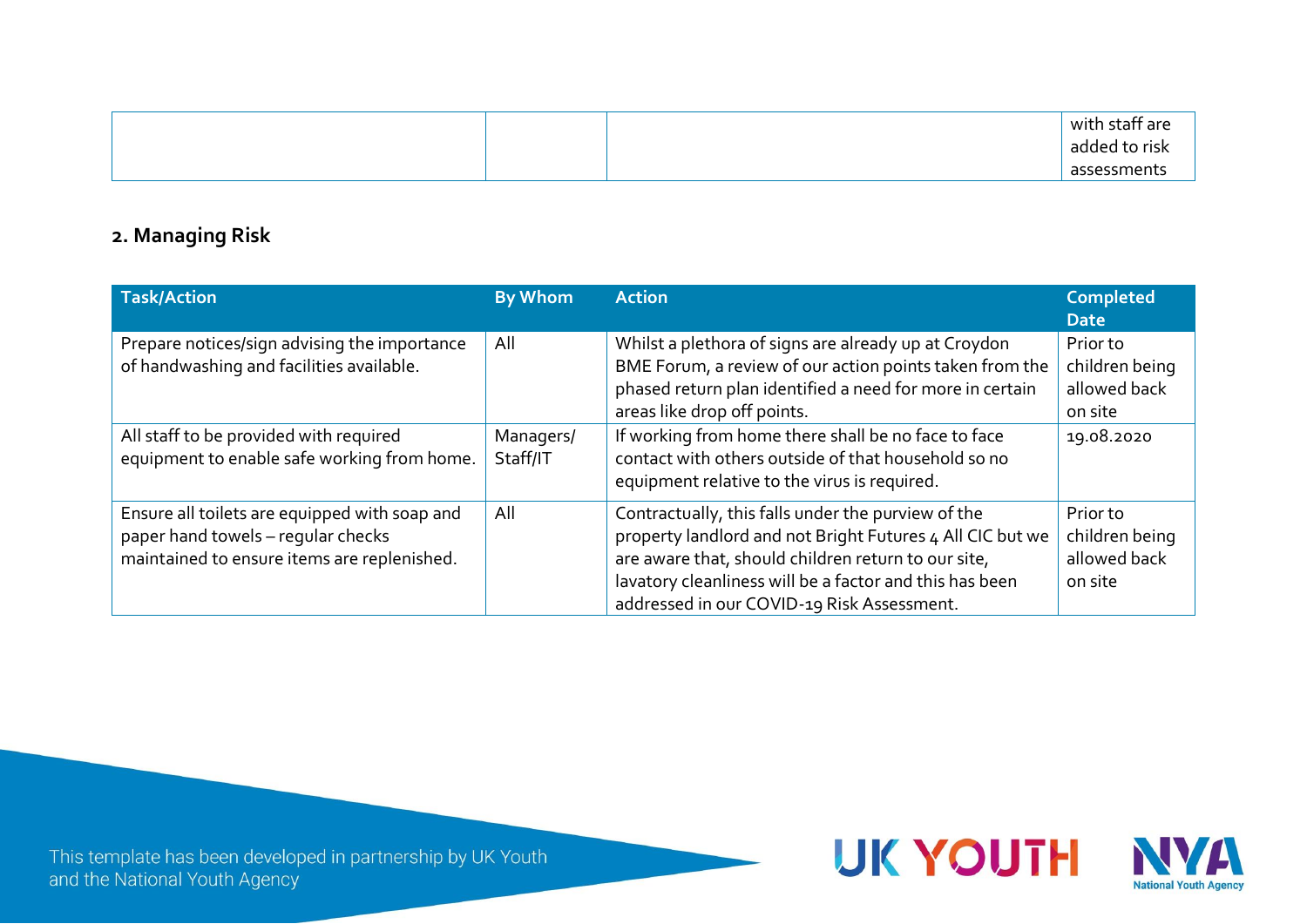|  | $\sim$<br>with staff are |
|--|--------------------------|
|  | added to risk            |
|  | assessments              |

### **2. Managing Risk**

| <b>Task/Action</b>                                                                                                                 | <b>By Whom</b>        | <b>Action</b>                                                                                                                                                                                                                                                                   | <b>Completed</b><br><b>Date</b>                       |
|------------------------------------------------------------------------------------------------------------------------------------|-----------------------|---------------------------------------------------------------------------------------------------------------------------------------------------------------------------------------------------------------------------------------------------------------------------------|-------------------------------------------------------|
| Prepare notices/sign advising the importance<br>of handwashing and facilities available.                                           | All                   | Whilst a plethora of signs are already up at Croydon<br>BME Forum, a review of our action points taken from the<br>phased return plan identified a need for more in certain<br>areas like drop off points.                                                                      | Prior to<br>children being<br>allowed back<br>on site |
| All staff to be provided with required<br>equipment to enable safe working from home.                                              | Managers/<br>Staff/IT | If working from home there shall be no face to face<br>contact with others outside of that household so no<br>equipment relative to the virus is required.                                                                                                                      | 19.08.2020                                            |
| Ensure all toilets are equipped with soap and<br>paper hand towels - regular checks<br>maintained to ensure items are replenished. | All                   | Contractually, this falls under the purview of the<br>property landlord and not Bright Futures 4 All CIC but we<br>are aware that, should children return to our site,<br>lavatory cleanliness will be a factor and this has been<br>addressed in our COVID-19 Risk Assessment. | Prior to<br>children being<br>allowed back<br>on site |

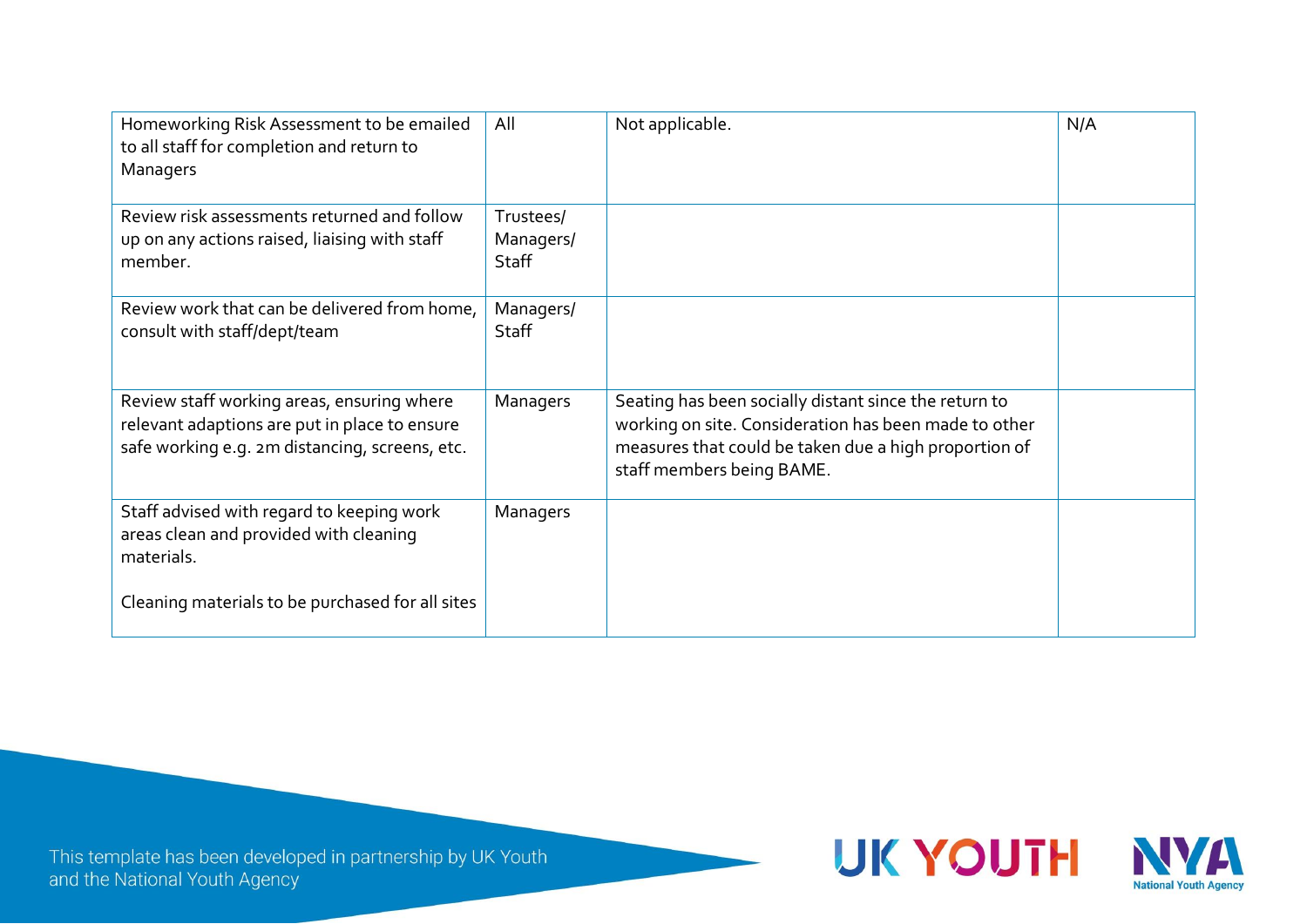| Homeworking Risk Assessment to be emailed<br>to all staff for completion and return to<br>Managers                                            | All                             | Not applicable.                                                                                                                                                                                      | N/A |
|-----------------------------------------------------------------------------------------------------------------------------------------------|---------------------------------|------------------------------------------------------------------------------------------------------------------------------------------------------------------------------------------------------|-----|
| Review risk assessments returned and follow<br>up on any actions raised, liaising with staff<br>member.                                       | Trustees/<br>Managers/<br>Staff |                                                                                                                                                                                                      |     |
| Review work that can be delivered from home,<br>consult with staff/dept/team                                                                  | Managers/<br>Staff              |                                                                                                                                                                                                      |     |
| Review staff working areas, ensuring where<br>relevant adaptions are put in place to ensure<br>safe working e.g. 2m distancing, screens, etc. | Managers                        | Seating has been socially distant since the return to<br>working on site. Consideration has been made to other<br>measures that could be taken due a high proportion of<br>staff members being BAME. |     |
| Staff advised with regard to keeping work<br>areas clean and provided with cleaning<br>materials.                                             | Managers                        |                                                                                                                                                                                                      |     |
| Cleaning materials to be purchased for all sites                                                                                              |                                 |                                                                                                                                                                                                      |     |

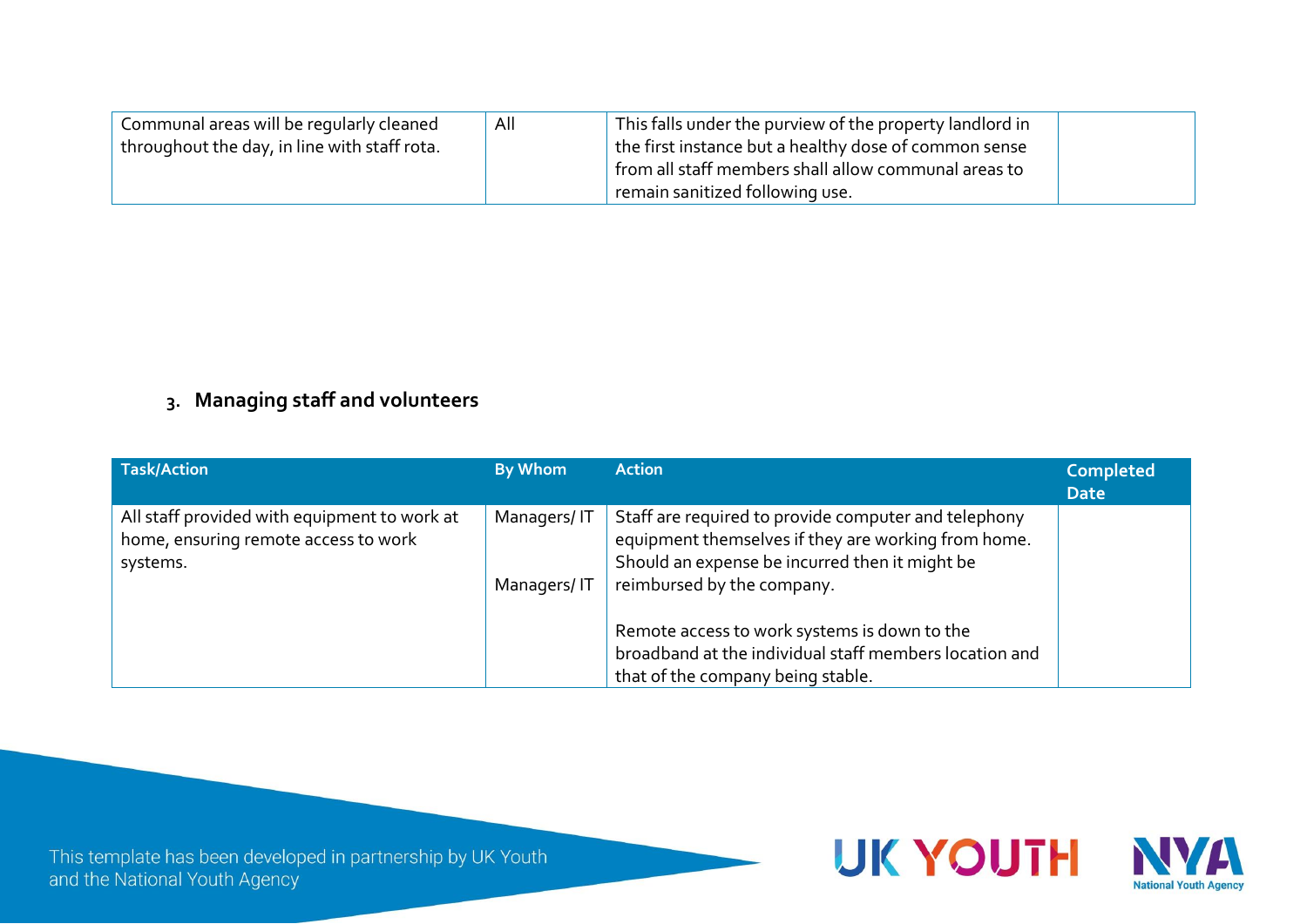| Communal areas will be regularly cleaned     | All | This falls under the purview of the property landlord in |  |
|----------------------------------------------|-----|----------------------------------------------------------|--|
| throughout the day, in line with staff rota. |     | the first instance but a healthy dose of common sense    |  |
|                                              |     | from all staff members shall allow communal areas to     |  |
|                                              |     | remain sanitized following use.                          |  |

### **3. Managing staff and volunteers**

| <b>Task/Action</b>                                                                               | By Whom                    | <b>Action</b>                                                                                                                                                                               | <b>Completed</b><br><b>Date</b> |
|--------------------------------------------------------------------------------------------------|----------------------------|---------------------------------------------------------------------------------------------------------------------------------------------------------------------------------------------|---------------------------------|
| All staff provided with equipment to work at<br>home, ensuring remote access to work<br>systems. | Managers/IT<br>Managers/IT | Staff are required to provide computer and telephony<br>equipment themselves if they are working from home.<br>Should an expense be incurred then it might be<br>reimbursed by the company. |                                 |
|                                                                                                  |                            | Remote access to work systems is down to the<br>broadband at the individual staff members location and<br>that of the company being stable.                                                 |                                 |

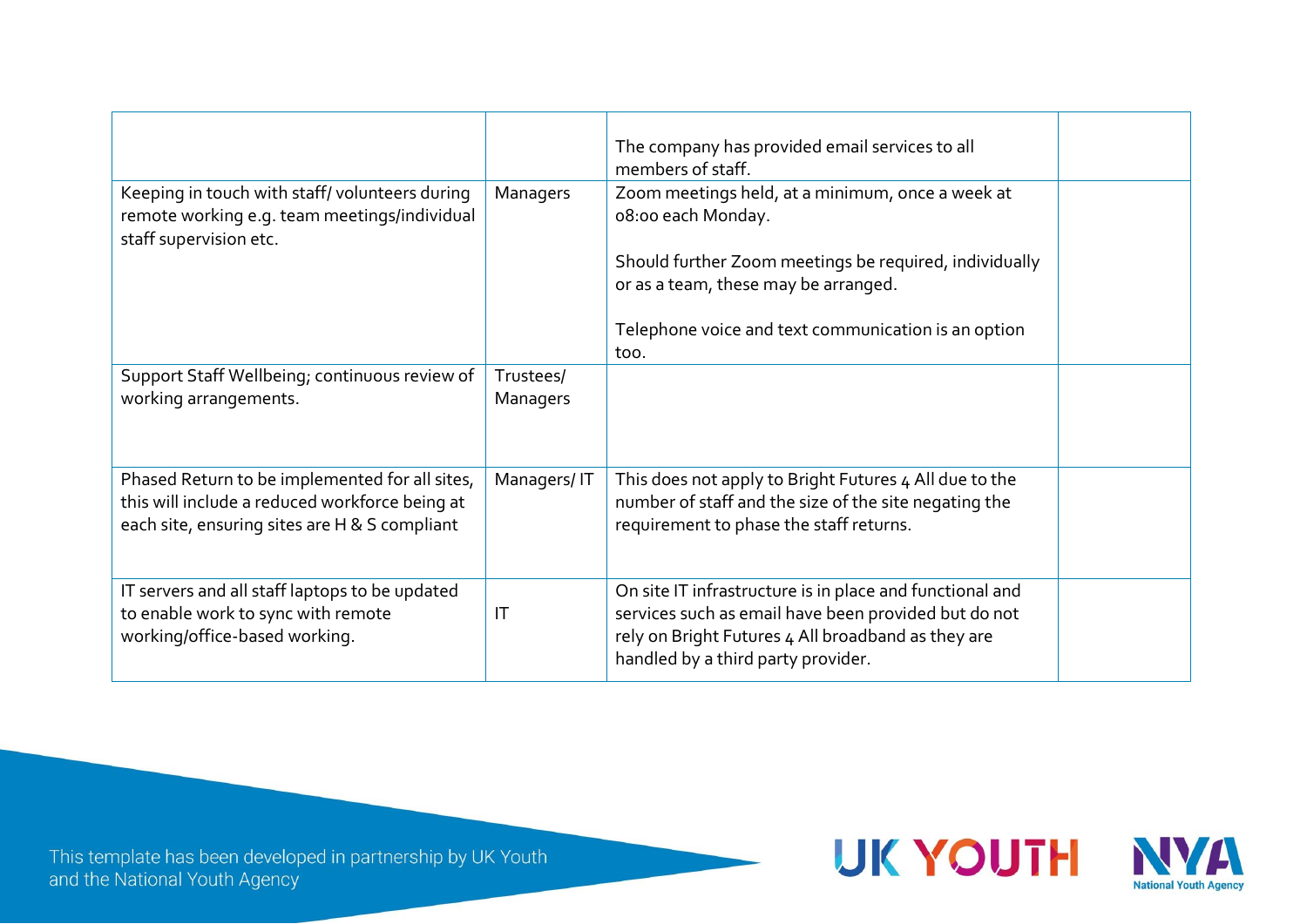|                                                                                                                                                   |                        | The company has provided email services to all<br>members of staff.                                                                                                                                          |  |
|---------------------------------------------------------------------------------------------------------------------------------------------------|------------------------|--------------------------------------------------------------------------------------------------------------------------------------------------------------------------------------------------------------|--|
| Keeping in touch with staff/volunteers during<br>remote working e.g. team meetings/individual<br>staff supervision etc.                           | Managers               | Zoom meetings held, at a minimum, once a week at<br>08:00 each Monday.                                                                                                                                       |  |
|                                                                                                                                                   |                        | Should further Zoom meetings be required, individually<br>or as a team, these may be arranged.                                                                                                               |  |
|                                                                                                                                                   |                        | Telephone voice and text communication is an option<br>too.                                                                                                                                                  |  |
| Support Staff Wellbeing; continuous review of<br>working arrangements.                                                                            | Trustees/<br>Managers  |                                                                                                                                                                                                              |  |
| Phased Return to be implemented for all sites,<br>this will include a reduced workforce being at<br>each site, ensuring sites are H & S compliant | Managers/IT            | This does not apply to Bright Futures 4 All due to the<br>number of staff and the size of the site negating the<br>requirement to phase the staff returns.                                                   |  |
| IT servers and all staff laptops to be updated<br>to enable work to sync with remote<br>working/office-based working.                             | $\mathsf{I}\mathsf{T}$ | On site IT infrastructure is in place and functional and<br>services such as email have been provided but do not<br>rely on Bright Futures 4 All broadband as they are<br>handled by a third party provider. |  |



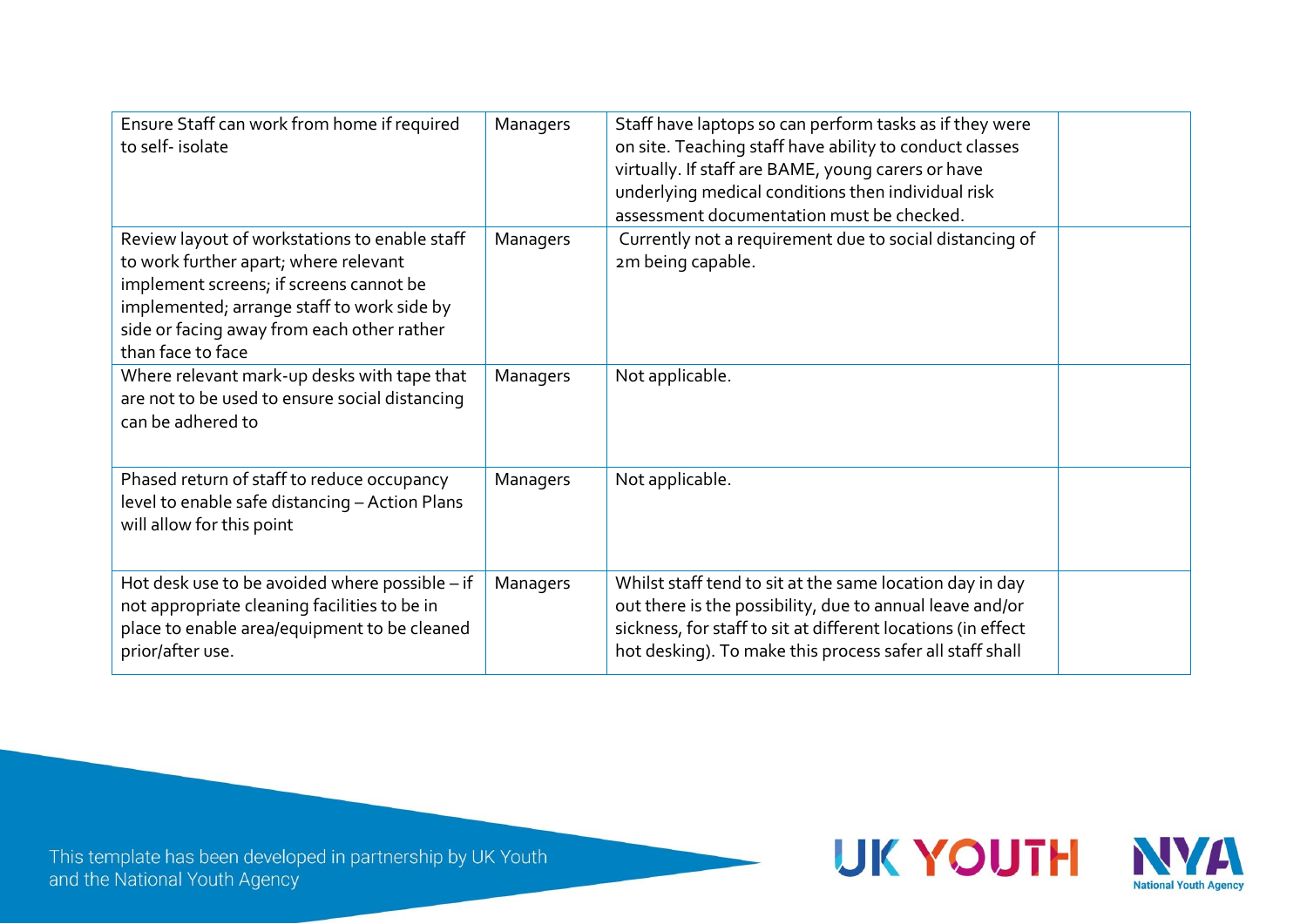| Ensure Staff can work from home if required<br>to self-isolate                                                                                                                                                                                     | Managers | Staff have laptops so can perform tasks as if they were<br>on site. Teaching staff have ability to conduct classes<br>virtually. If staff are BAME, young carers or have<br>underlying medical conditions then individual risk<br>assessment documentation must be checked. |  |
|----------------------------------------------------------------------------------------------------------------------------------------------------------------------------------------------------------------------------------------------------|----------|-----------------------------------------------------------------------------------------------------------------------------------------------------------------------------------------------------------------------------------------------------------------------------|--|
| Review layout of workstations to enable staff<br>to work further apart; where relevant<br>implement screens; if screens cannot be<br>implemented; arrange staff to work side by<br>side or facing away from each other rather<br>than face to face | Managers | Currently not a requirement due to social distancing of<br>2m being capable.                                                                                                                                                                                                |  |
| Where relevant mark-up desks with tape that<br>are not to be used to ensure social distancing<br>can be adhered to                                                                                                                                 | Managers | Not applicable.                                                                                                                                                                                                                                                             |  |
| Phased return of staff to reduce occupancy<br>level to enable safe distancing - Action Plans<br>will allow for this point                                                                                                                          | Managers | Not applicable.                                                                                                                                                                                                                                                             |  |
| Hot desk use to be avoided where possible - if<br>not appropriate cleaning facilities to be in<br>place to enable area/equipment to be cleaned<br>prior/after use.                                                                                 | Managers | Whilst staff tend to sit at the same location day in day<br>out there is the possibility, due to annual leave and/or<br>sickness, for staff to sit at different locations (in effect<br>hot desking). To make this process safer all staff shall                            |  |



**UK YOUTH**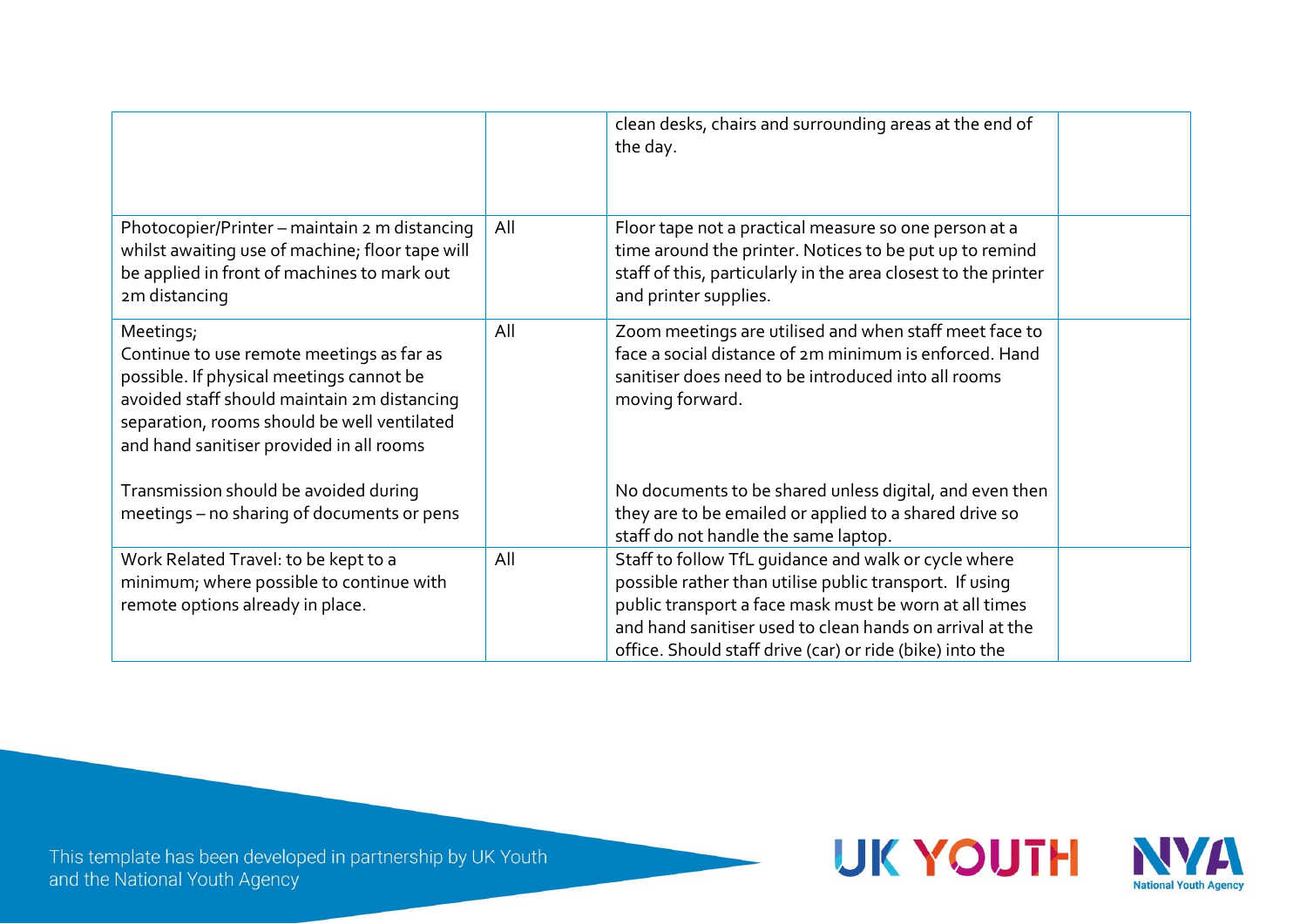|                                                                                                                                                                                                                                              |     | clean desks, chairs and surrounding areas at the end of<br>the day.                                                                                                                                                                                                                               |  |
|----------------------------------------------------------------------------------------------------------------------------------------------------------------------------------------------------------------------------------------------|-----|---------------------------------------------------------------------------------------------------------------------------------------------------------------------------------------------------------------------------------------------------------------------------------------------------|--|
| Photocopier/Printer - maintain 2 m distancing<br>whilst awaiting use of machine; floor tape will<br>be applied in front of machines to mark out<br>2m distancing                                                                             | All | Floor tape not a practical measure so one person at a<br>time around the printer. Notices to be put up to remind<br>staff of this, particularly in the area closest to the printer<br>and printer supplies.                                                                                       |  |
| Meetings;<br>Continue to use remote meetings as far as<br>possible. If physical meetings cannot be<br>avoided staff should maintain 2m distancing<br>separation, rooms should be well ventilated<br>and hand sanitiser provided in all rooms | All | Zoom meetings are utilised and when staff meet face to<br>face a social distance of 2m minimum is enforced. Hand<br>sanitiser does need to be introduced into all rooms<br>moving forward.                                                                                                        |  |
| Transmission should be avoided during<br>meetings - no sharing of documents or pens                                                                                                                                                          |     | No documents to be shared unless digital, and even then<br>they are to be emailed or applied to a shared drive so<br>staff do not handle the same laptop.                                                                                                                                         |  |
| Work Related Travel: to be kept to a<br>minimum; where possible to continue with<br>remote options already in place.                                                                                                                         | All | Staff to follow TfL quidance and walk or cycle where<br>possible rather than utilise public transport. If using<br>public transport a face mask must be worn at all times<br>and hand sanitiser used to clean hands on arrival at the<br>office. Should staff drive (car) or ride (bike) into the |  |

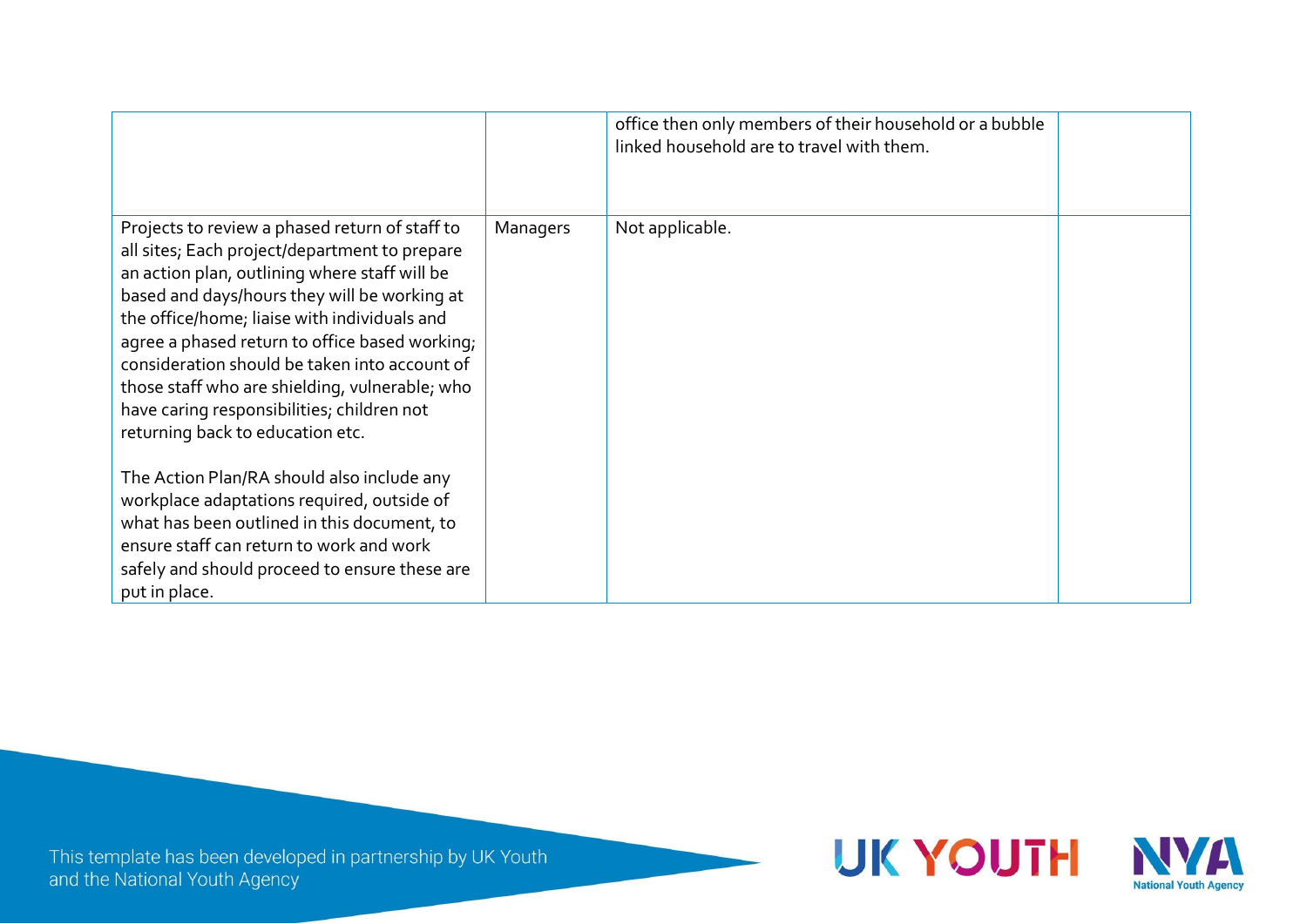|                                                                                                                                                                                                                                                                                                                                                                                                                                                                                         |          | office then only members of their household or a bubble<br>linked household are to travel with them. |  |
|-----------------------------------------------------------------------------------------------------------------------------------------------------------------------------------------------------------------------------------------------------------------------------------------------------------------------------------------------------------------------------------------------------------------------------------------------------------------------------------------|----------|------------------------------------------------------------------------------------------------------|--|
| Projects to review a phased return of staff to<br>all sites; Each project/department to prepare<br>an action plan, outlining where staff will be<br>based and days/hours they will be working at<br>the office/home; liaise with individuals and<br>agree a phased return to office based working;<br>consideration should be taken into account of<br>those staff who are shielding, vulnerable; who<br>have caring responsibilities; children not<br>returning back to education etc. | Managers | Not applicable.                                                                                      |  |
| The Action Plan/RA should also include any<br>workplace adaptations required, outside of<br>what has been outlined in this document, to<br>ensure staff can return to work and work<br>safely and should proceed to ensure these are<br>put in place.                                                                                                                                                                                                                                   |          |                                                                                                      |  |

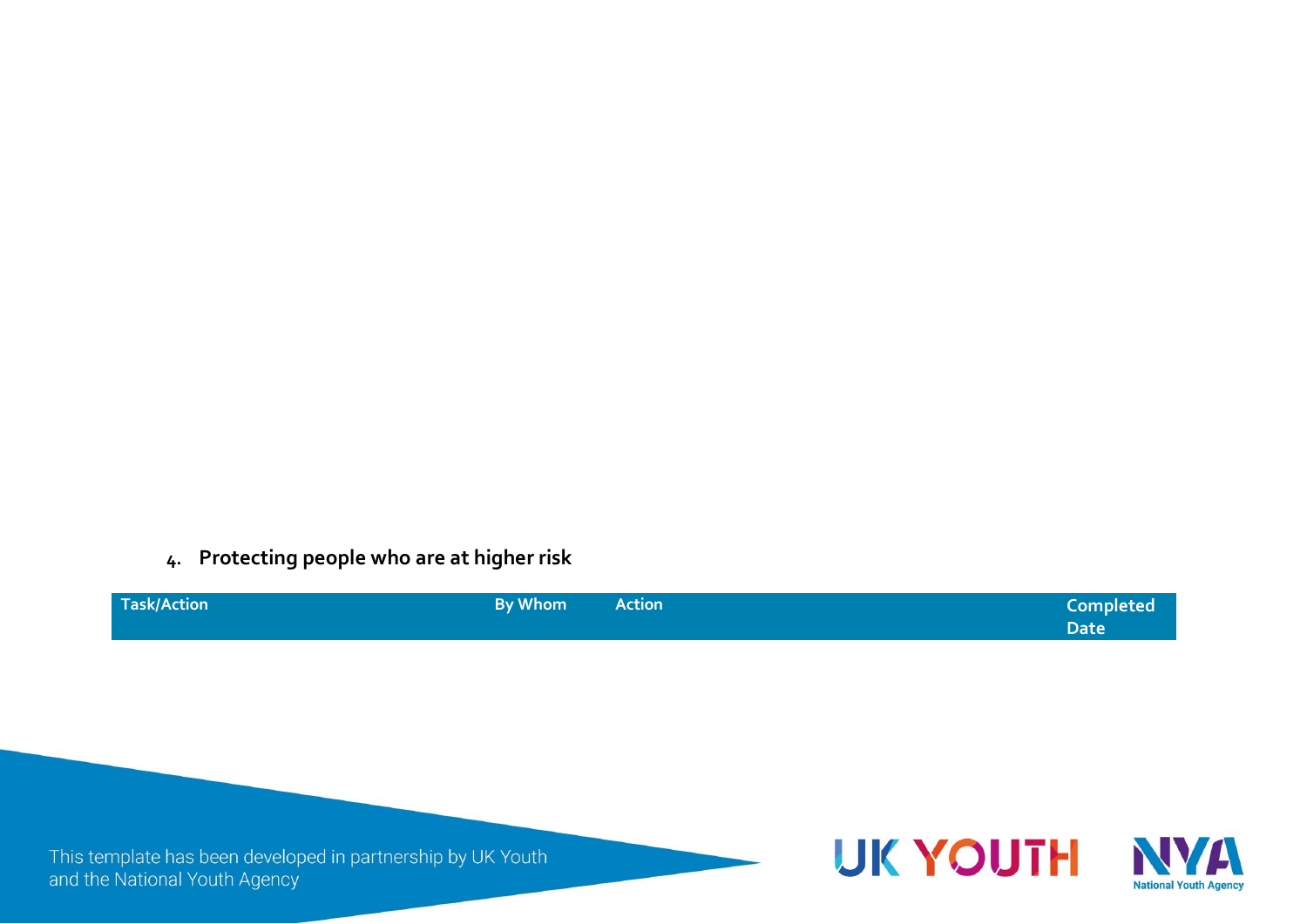**4. Protecting people who are at higher risk**

| Task/Action | By Whom<br><b>Action</b> | <b>Completed</b> |
|-------------|--------------------------|------------------|
|             |                          | <b>Date</b>      |

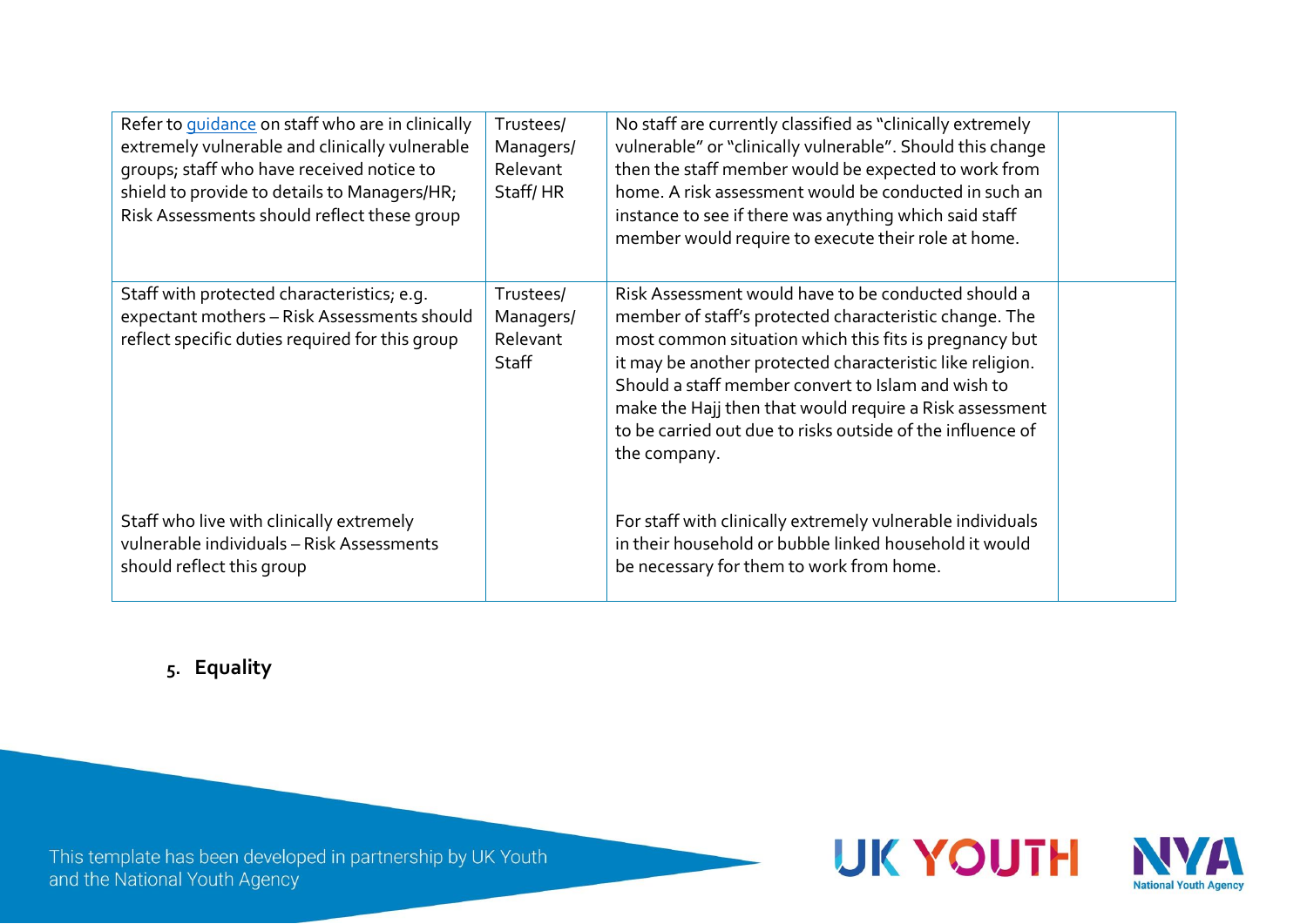| Refer to <i>guidance</i> on staff who are in clinically<br>extremely vulnerable and clinically vulnerable<br>groups; staff who have received notice to<br>shield to provide to details to Managers/HR;<br>Risk Assessments should reflect these group | Trustees/<br>Managers/<br>Relevant<br>Staff/HR | No staff are currently classified as "clinically extremely<br>vulnerable" or "clinically vulnerable". Should this change<br>then the staff member would be expected to work from<br>home. A risk assessment would be conducted in such an<br>instance to see if there was anything which said staff<br>member would require to execute their role at home.                                                                          |  |
|-------------------------------------------------------------------------------------------------------------------------------------------------------------------------------------------------------------------------------------------------------|------------------------------------------------|-------------------------------------------------------------------------------------------------------------------------------------------------------------------------------------------------------------------------------------------------------------------------------------------------------------------------------------------------------------------------------------------------------------------------------------|--|
| Staff with protected characteristics; e.g.<br>expectant mothers - Risk Assessments should<br>reflect specific duties required for this group                                                                                                          | Trustees/<br>Managers/<br>Relevant<br>Staff    | Risk Assessment would have to be conducted should a<br>member of staff's protected characteristic change. The<br>most common situation which this fits is pregnancy but<br>it may be another protected characteristic like religion.<br>Should a staff member convert to Islam and wish to<br>make the Hajj then that would require a Risk assessment<br>to be carried out due to risks outside of the influence of<br>the company. |  |
| Staff who live with clinically extremely<br>vulnerable individuals - Risk Assessments<br>should reflect this group                                                                                                                                    |                                                | For staff with clinically extremely vulnerable individuals<br>in their household or bubble linked household it would<br>be necessary for them to work from home.                                                                                                                                                                                                                                                                    |  |

**5. Equality**

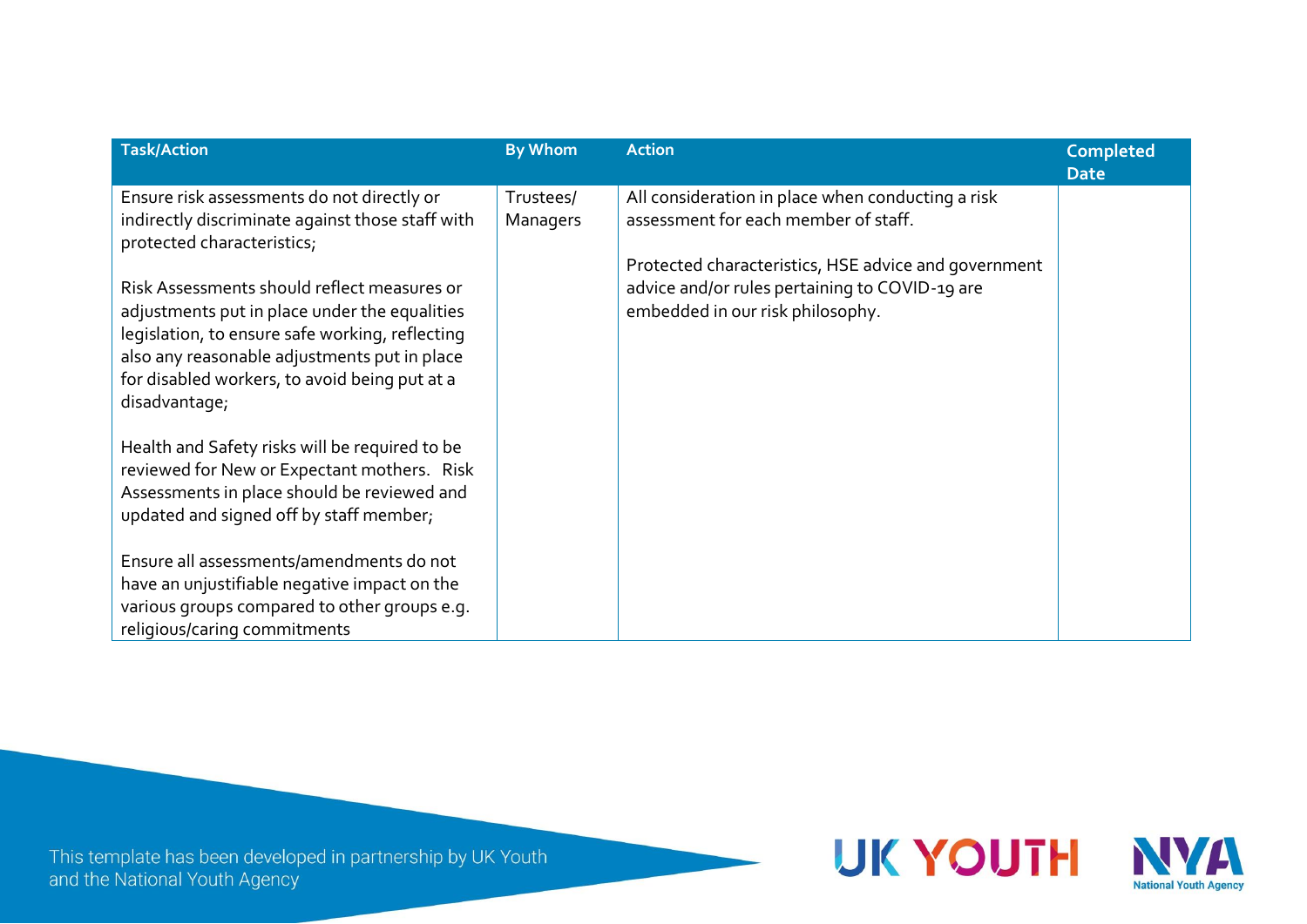| <b>Completed</b><br><b>Date</b> |
|---------------------------------|
|                                 |
|                                 |
|                                 |
|                                 |
|                                 |
|                                 |
|                                 |
|                                 |
|                                 |
|                                 |
|                                 |
|                                 |
|                                 |
|                                 |
|                                 |
|                                 |

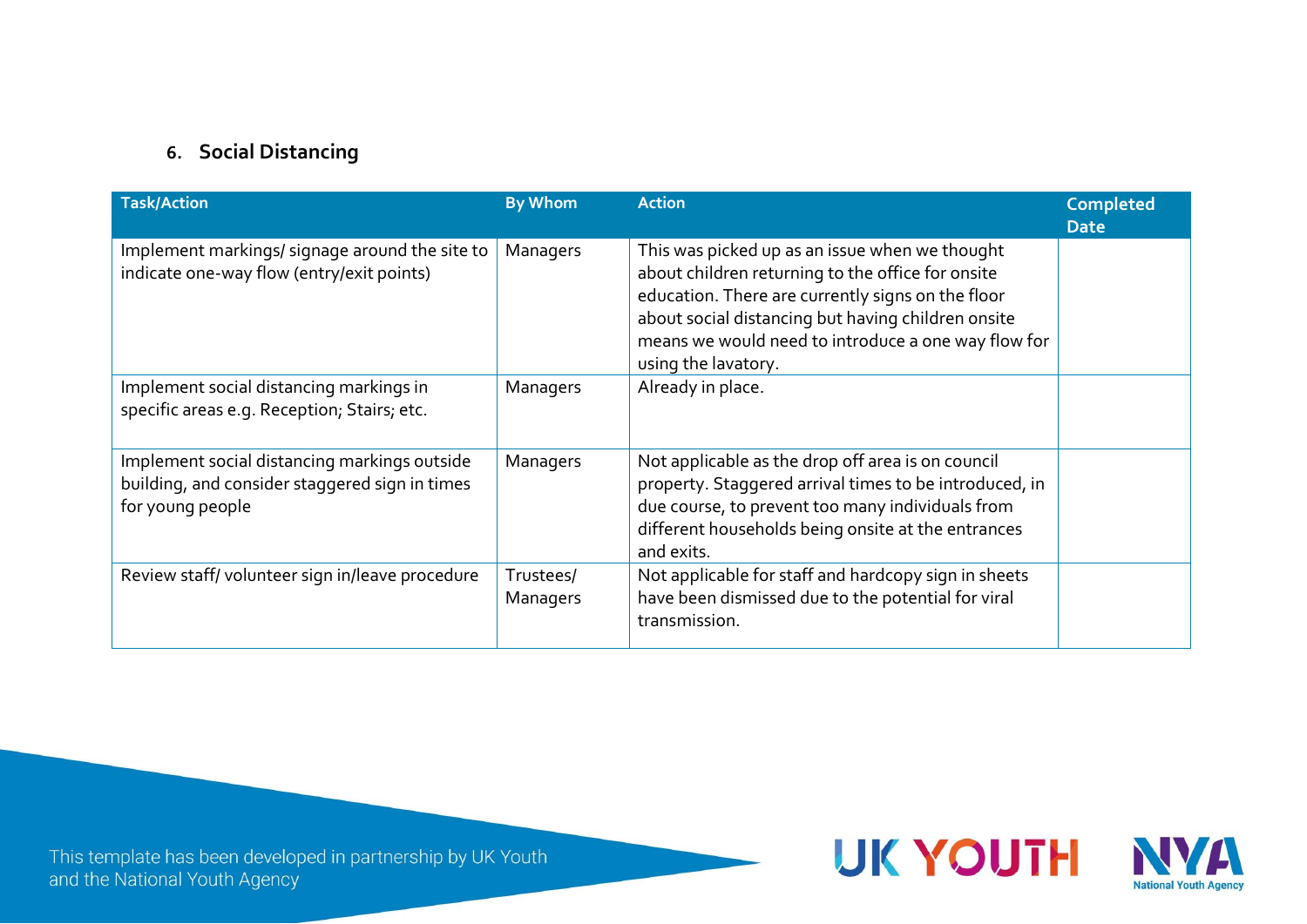### **6. Social Distancing**

| <b>Task/Action</b>                                                                                                 | <b>By Whom</b>        | <b>Action</b>                                                                                                                                                                                                                                                                                | <b>Completed</b><br><b>Date</b> |
|--------------------------------------------------------------------------------------------------------------------|-----------------------|----------------------------------------------------------------------------------------------------------------------------------------------------------------------------------------------------------------------------------------------------------------------------------------------|---------------------------------|
| Implement markings/signage around the site to<br>indicate one-way flow (entry/exit points)                         | Managers              | This was picked up as an issue when we thought<br>about children returning to the office for onsite<br>education. There are currently signs on the floor<br>about social distancing but having children onsite<br>means we would need to introduce a one way flow for<br>using the lavatory. |                                 |
| Implement social distancing markings in<br>specific areas e.g. Reception; Stairs; etc.                             | Managers              | Already in place.                                                                                                                                                                                                                                                                            |                                 |
| Implement social distancing markings outside<br>building, and consider staggered sign in times<br>for young people | Managers              | Not applicable as the drop off area is on council<br>property. Staggered arrival times to be introduced, in<br>due course, to prevent too many individuals from<br>different households being onsite at the entrances<br>and exits.                                                          |                                 |
| Review staff/volunteer sign in/leave procedure                                                                     | Trustees/<br>Managers | Not applicable for staff and hardcopy sign in sheets<br>have been dismissed due to the potential for viral<br>transmission.                                                                                                                                                                  |                                 |

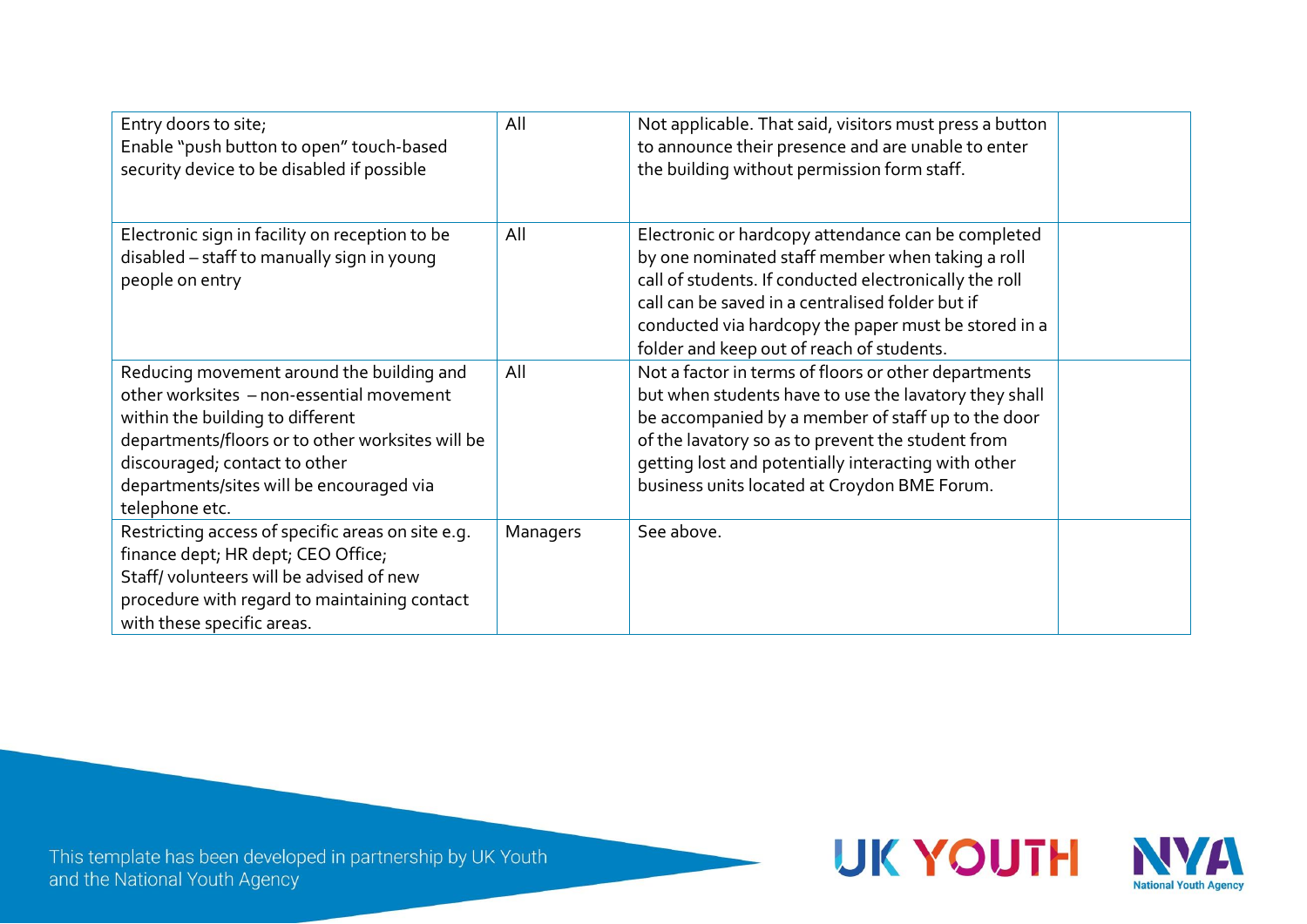| Entry doors to site;<br>Enable "push button to open" touch-based<br>security device to be disabled if possible                                                                                                                                                               | All      | Not applicable. That said, visitors must press a button<br>to announce their presence and are unable to enter<br>the building without permission form staff.                                                                                                                                                                    |  |
|------------------------------------------------------------------------------------------------------------------------------------------------------------------------------------------------------------------------------------------------------------------------------|----------|---------------------------------------------------------------------------------------------------------------------------------------------------------------------------------------------------------------------------------------------------------------------------------------------------------------------------------|--|
| Electronic sign in facility on reception to be<br>disabled - staff to manually sign in young<br>people on entry                                                                                                                                                              | All      | Electronic or hardcopy attendance can be completed<br>by one nominated staff member when taking a roll<br>call of students. If conducted electronically the roll<br>call can be saved in a centralised folder but if<br>conducted via hardcopy the paper must be stored in a<br>folder and keep out of reach of students.       |  |
| Reducing movement around the building and<br>other worksites - non-essential movement<br>within the building to different<br>departments/floors or to other worksites will be<br>discouraged; contact to other<br>departments/sites will be encouraged via<br>telephone etc. | All      | Not a factor in terms of floors or other departments<br>but when students have to use the lavatory they shall<br>be accompanied by a member of staff up to the door<br>of the lavatory so as to prevent the student from<br>getting lost and potentially interacting with other<br>business units located at Croydon BME Forum. |  |
| Restricting access of specific areas on site e.g.<br>finance dept; HR dept; CEO Office;<br>Staff/volunteers will be advised of new<br>procedure with regard to maintaining contact<br>with these specific areas.                                                             | Managers | See above.                                                                                                                                                                                                                                                                                                                      |  |

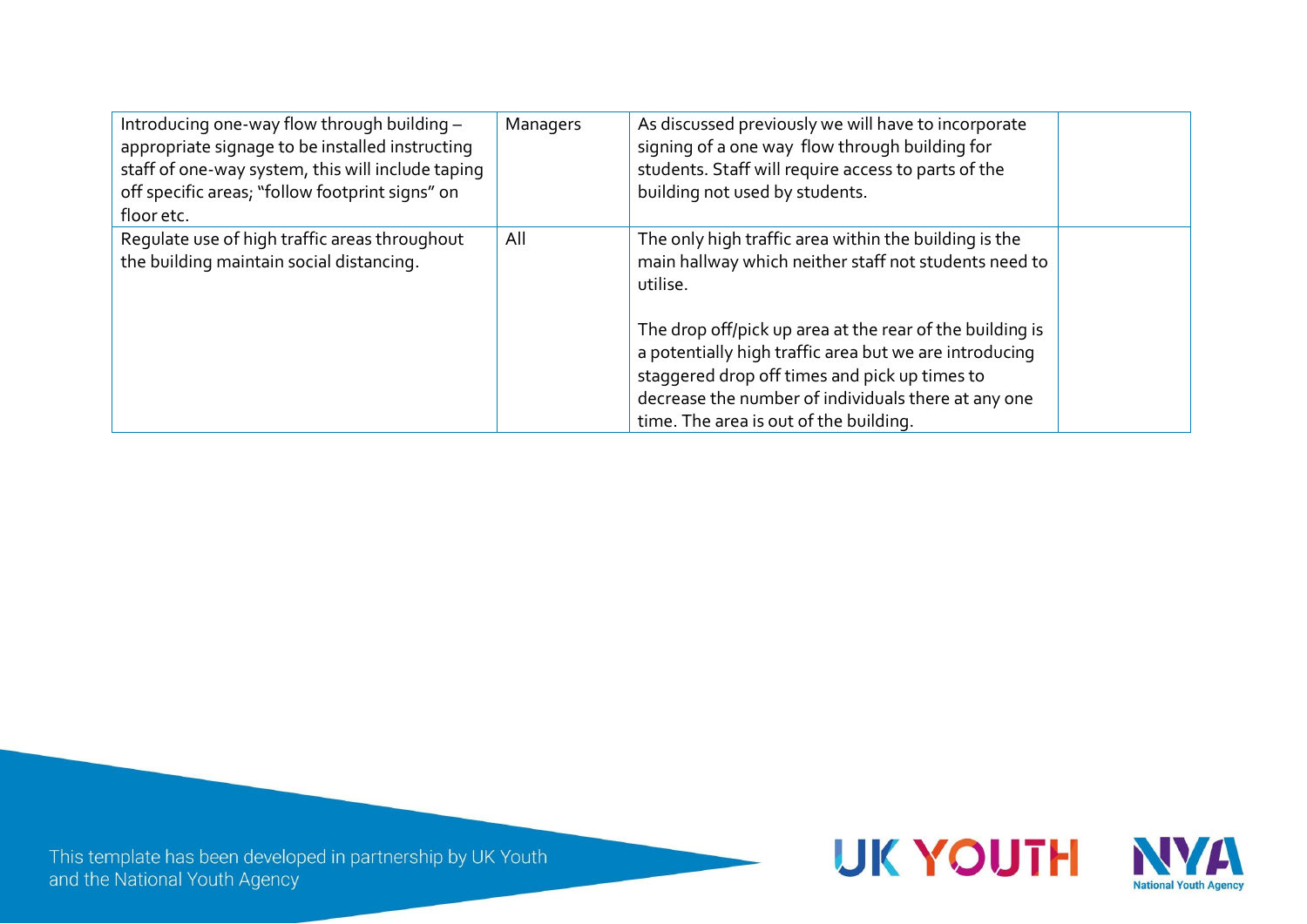| Introducing one-way flow through building -<br>appropriate signage to be installed instructing<br>staff of one-way system, this will include taping<br>off specific areas; "follow footprint signs" on<br>floor etc. | Managers | As discussed previously we will have to incorporate<br>signing of a one way flow through building for<br>students. Staff will require access to parts of the<br>building not used by students.                                                                                                                                                                                                     |  |
|----------------------------------------------------------------------------------------------------------------------------------------------------------------------------------------------------------------------|----------|----------------------------------------------------------------------------------------------------------------------------------------------------------------------------------------------------------------------------------------------------------------------------------------------------------------------------------------------------------------------------------------------------|--|
| Requlate use of high traffic areas throughout<br>the building maintain social distancing.                                                                                                                            | All      | The only high traffic area within the building is the<br>main hallway which neither staff not students need to<br>utilise.<br>The drop off/pick up area at the rear of the building is<br>a potentially high traffic area but we are introducing<br>staggered drop off times and pick up times to<br>decrease the number of individuals there at any one<br>time. The area is out of the building. |  |

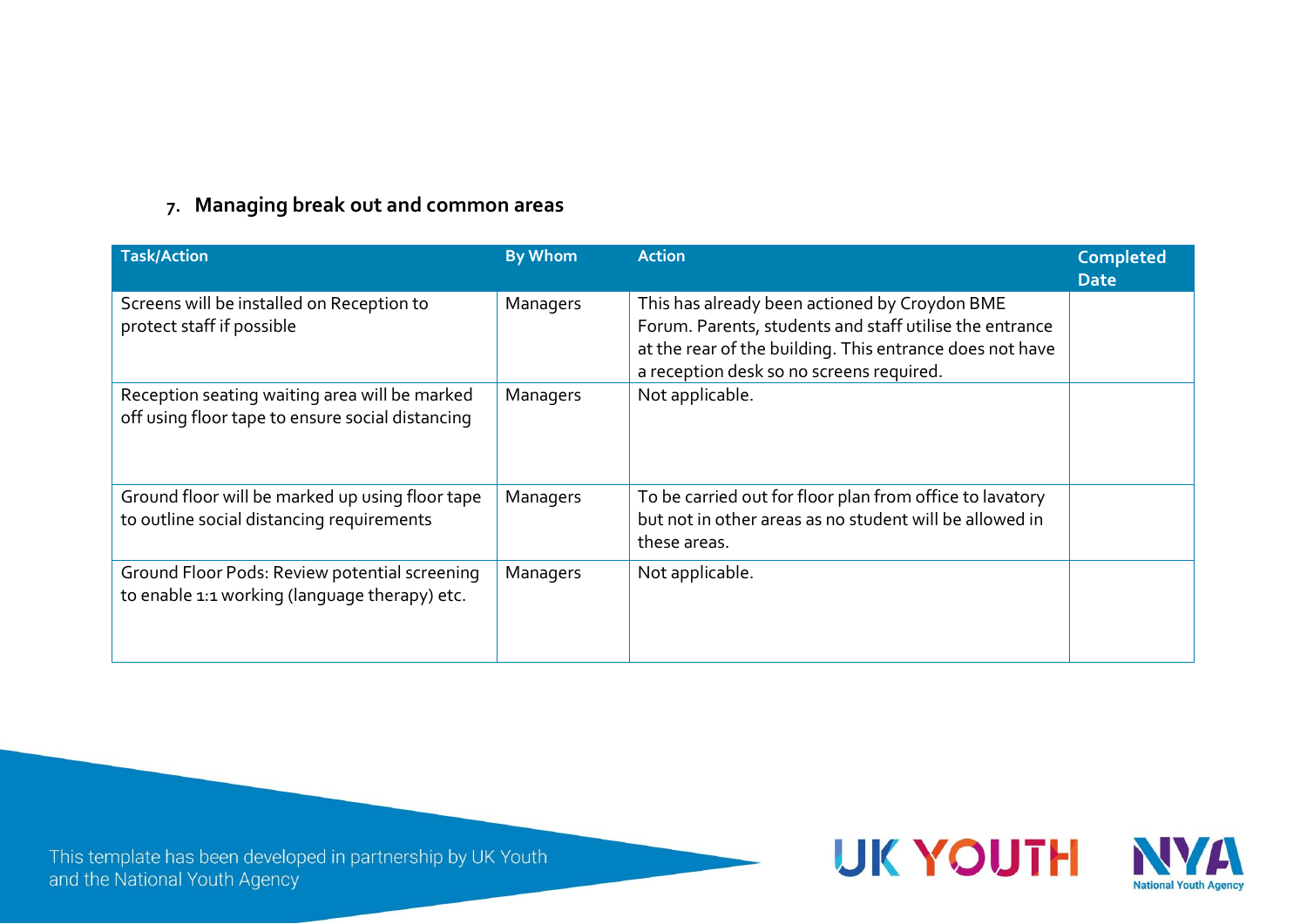#### **7. Managing break out and common areas**

| <b>Task/Action</b>                                                                                | <b>By Whom</b> | <b>Action</b>                                                                                                                                                                                                    | <b>Completed</b><br><b>Date</b> |
|---------------------------------------------------------------------------------------------------|----------------|------------------------------------------------------------------------------------------------------------------------------------------------------------------------------------------------------------------|---------------------------------|
| Screens will be installed on Reception to<br>protect staff if possible                            | Managers       | This has already been actioned by Croydon BME<br>Forum. Parents, students and staff utilise the entrance<br>at the rear of the building. This entrance does not have<br>a reception desk so no screens required. |                                 |
| Reception seating waiting area will be marked<br>off using floor tape to ensure social distancing | Managers       | Not applicable.                                                                                                                                                                                                  |                                 |
| Ground floor will be marked up using floor tape<br>to outline social distancing requirements      | Managers       | To be carried out for floor plan from office to lavatory<br>but not in other areas as no student will be allowed in<br>these areas.                                                                              |                                 |
| Ground Floor Pods: Review potential screening<br>to enable 1:1 working (language therapy) etc.    | Managers       | Not applicable.                                                                                                                                                                                                  |                                 |

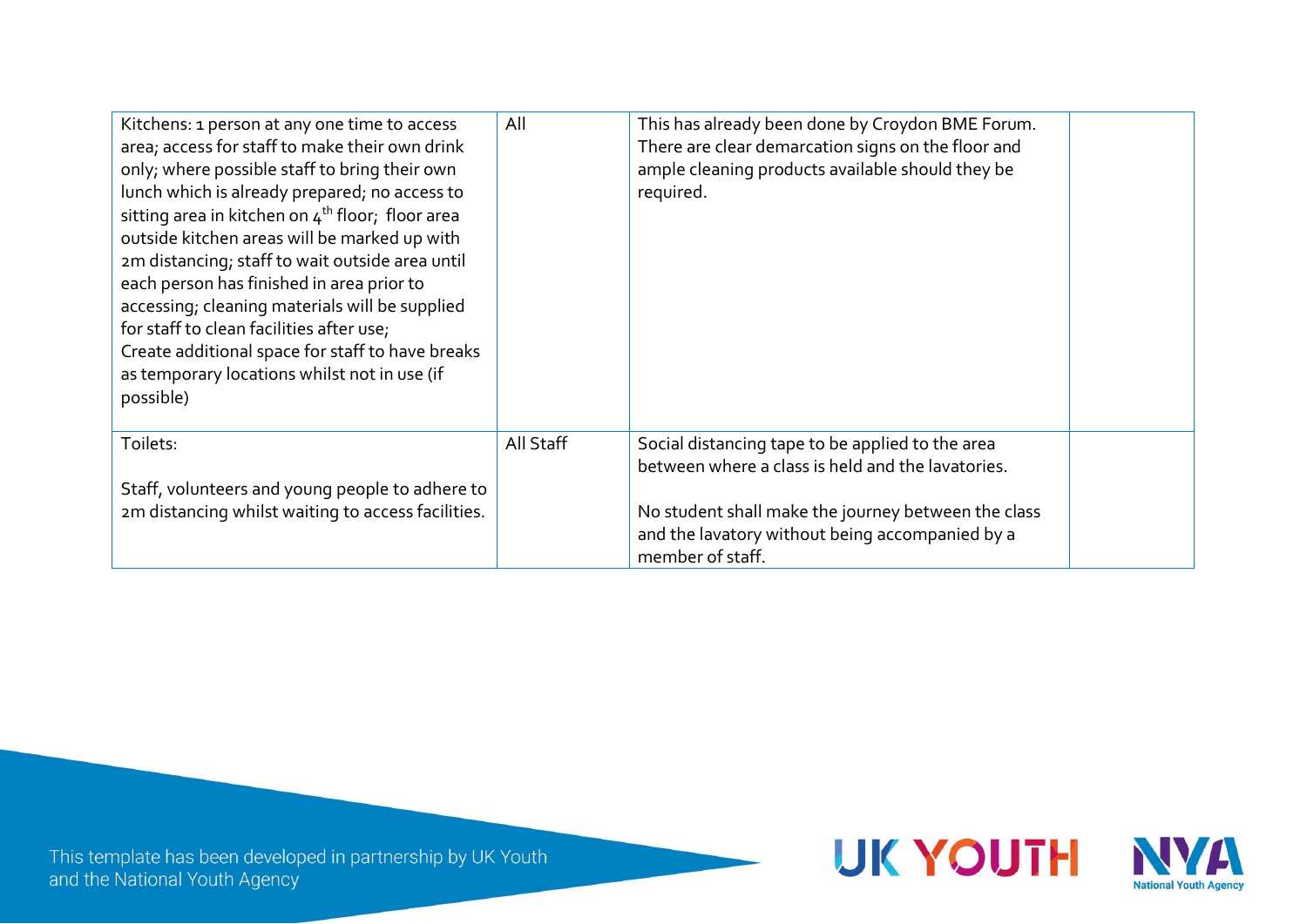| Kitchens: 1 person at any one time to access<br>area; access for staff to make their own drink<br>only; where possible staff to bring their own<br>lunch which is already prepared; no access to<br>sitting area in kitchen on 4 <sup>th</sup> floor; floor area<br>outside kitchen areas will be marked up with<br>2m distancing; staff to wait outside area until<br>each person has finished in area prior to<br>accessing; cleaning materials will be supplied<br>for staff to clean facilities after use;<br>Create additional space for staff to have breaks<br>as temporary locations whilst not in use (if<br>possible) | All       | This has already been done by Croydon BME Forum.<br>There are clear demarcation signs on the floor and<br>ample cleaning products available should they be<br>required. |  |
|---------------------------------------------------------------------------------------------------------------------------------------------------------------------------------------------------------------------------------------------------------------------------------------------------------------------------------------------------------------------------------------------------------------------------------------------------------------------------------------------------------------------------------------------------------------------------------------------------------------------------------|-----------|-------------------------------------------------------------------------------------------------------------------------------------------------------------------------|--|
| Toilets:                                                                                                                                                                                                                                                                                                                                                                                                                                                                                                                                                                                                                        | All Staff | Social distancing tape to be applied to the area<br>between where a class is held and the lavatories.                                                                   |  |
| Staff, volunteers and young people to adhere to                                                                                                                                                                                                                                                                                                                                                                                                                                                                                                                                                                                 |           |                                                                                                                                                                         |  |
| 2m distancing whilst waiting to access facilities.                                                                                                                                                                                                                                                                                                                                                                                                                                                                                                                                                                              |           | No student shall make the journey between the class                                                                                                                     |  |
|                                                                                                                                                                                                                                                                                                                                                                                                                                                                                                                                                                                                                                 |           | and the lavatory without being accompanied by a                                                                                                                         |  |
|                                                                                                                                                                                                                                                                                                                                                                                                                                                                                                                                                                                                                                 |           | member of staff.                                                                                                                                                        |  |

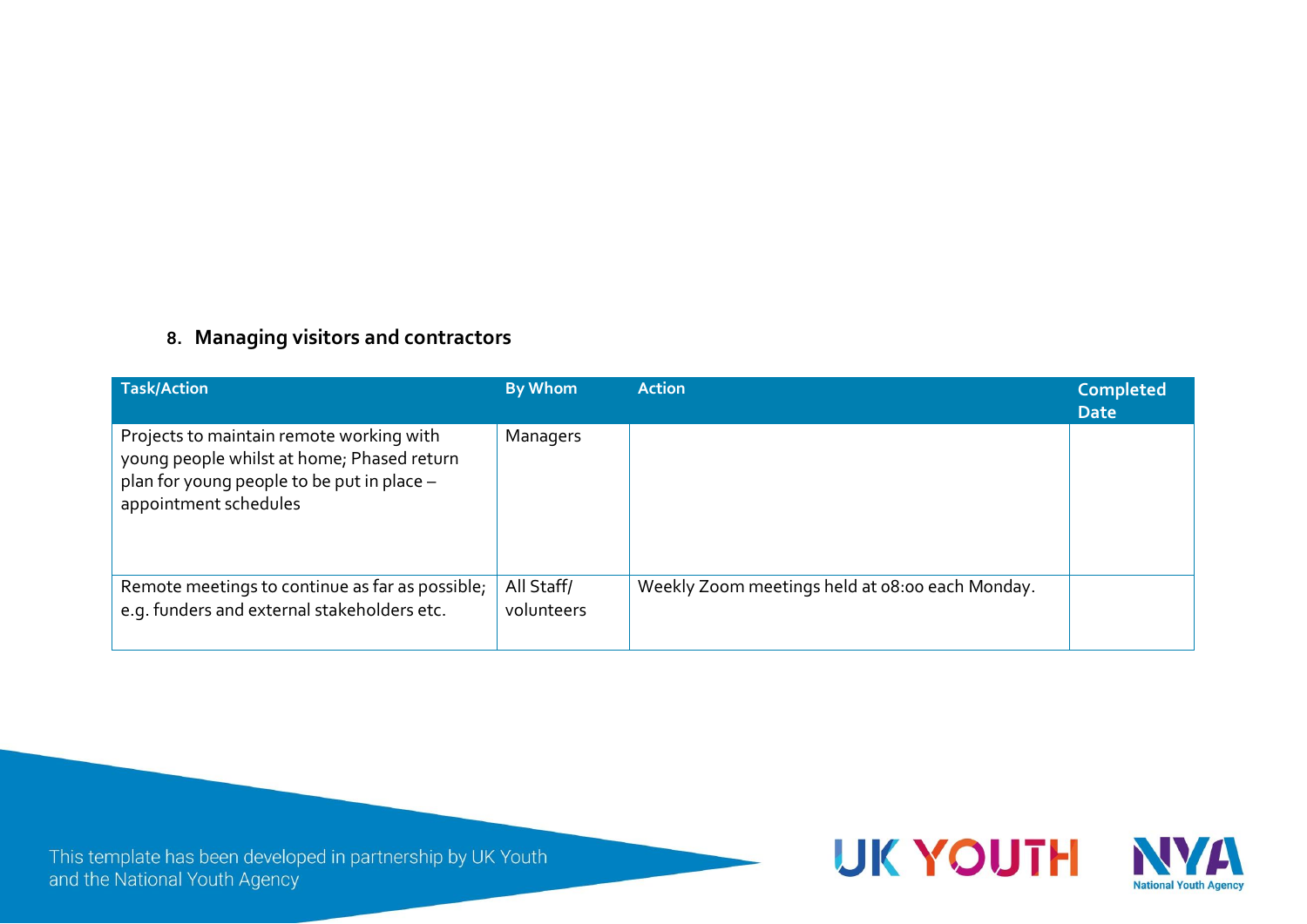### **8. Managing visitors and contractors**

| <b>Task/Action</b>                                                                                                                                            | <b>By Whom</b>           | <b>Action</b>                                   | <b>Completed</b><br><b>Date</b> |
|---------------------------------------------------------------------------------------------------------------------------------------------------------------|--------------------------|-------------------------------------------------|---------------------------------|
| Projects to maintain remote working with<br>young people whilst at home; Phased return<br>plan for young people to be put in place -<br>appointment schedules | Managers                 |                                                 |                                 |
| Remote meetings to continue as far as possible;<br>e.g. funders and external stakeholders etc.                                                                | All Staff/<br>volunteers | Weekly Zoom meetings held at 08:00 each Monday. |                                 |

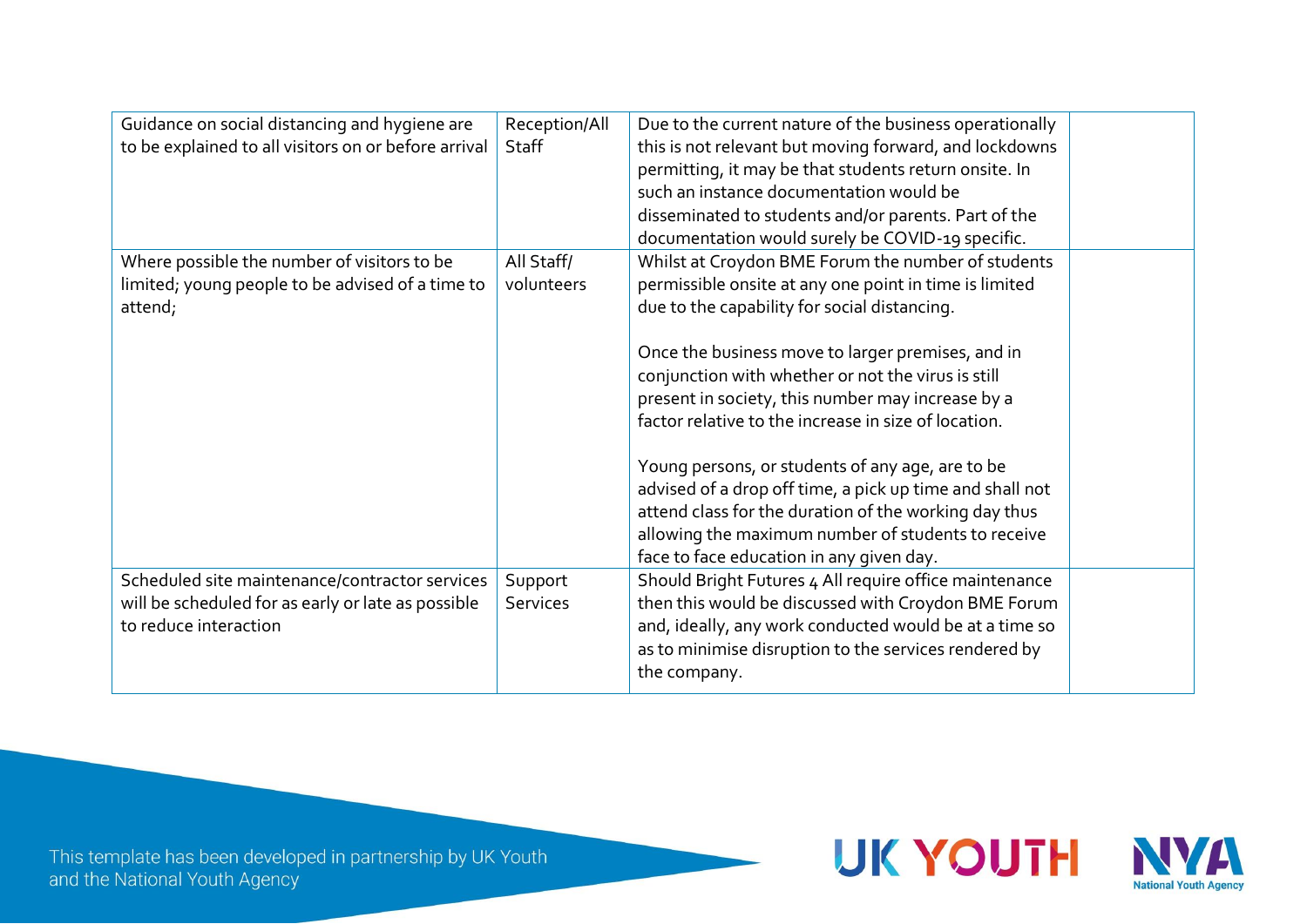| Guidance on social distancing and hygiene are        | Reception/All | Due to the current nature of the business operationally  |  |
|------------------------------------------------------|---------------|----------------------------------------------------------|--|
| to be explained to all visitors on or before arrival | Staff         | this is not relevant but moving forward, and lockdowns   |  |
|                                                      |               | permitting, it may be that students return onsite. In    |  |
|                                                      |               | such an instance documentation would be                  |  |
|                                                      |               | disseminated to students and/or parents. Part of the     |  |
|                                                      |               | documentation would surely be COVID-19 specific.         |  |
| Where possible the number of visitors to be          | All Staff/    | Whilst at Croydon BME Forum the number of students       |  |
| limited; young people to be advised of a time to     | volunteers    | permissible onsite at any one point in time is limited   |  |
| attend;                                              |               | due to the capability for social distancing.             |  |
|                                                      |               |                                                          |  |
|                                                      |               | Once the business move to larger premises, and in        |  |
|                                                      |               | conjunction with whether or not the virus is still       |  |
|                                                      |               | present in society, this number may increase by a        |  |
|                                                      |               | factor relative to the increase in size of location.     |  |
|                                                      |               |                                                          |  |
|                                                      |               | Young persons, or students of any age, are to be         |  |
|                                                      |               | advised of a drop off time, a pick up time and shall not |  |
|                                                      |               | attend class for the duration of the working day thus    |  |
|                                                      |               | allowing the maximum number of students to receive       |  |
|                                                      |               | face to face education in any given day.                 |  |
| Scheduled site maintenance/contractor services       | Support       | Should Bright Futures 4 All require office maintenance   |  |
| will be scheduled for as early or late as possible   | Services      | then this would be discussed with Croydon BME Forum      |  |
| to reduce interaction                                |               | and, ideally, any work conducted would be at a time so   |  |
|                                                      |               | as to minimise disruption to the services rendered by    |  |
|                                                      |               | the company.                                             |  |
|                                                      |               |                                                          |  |

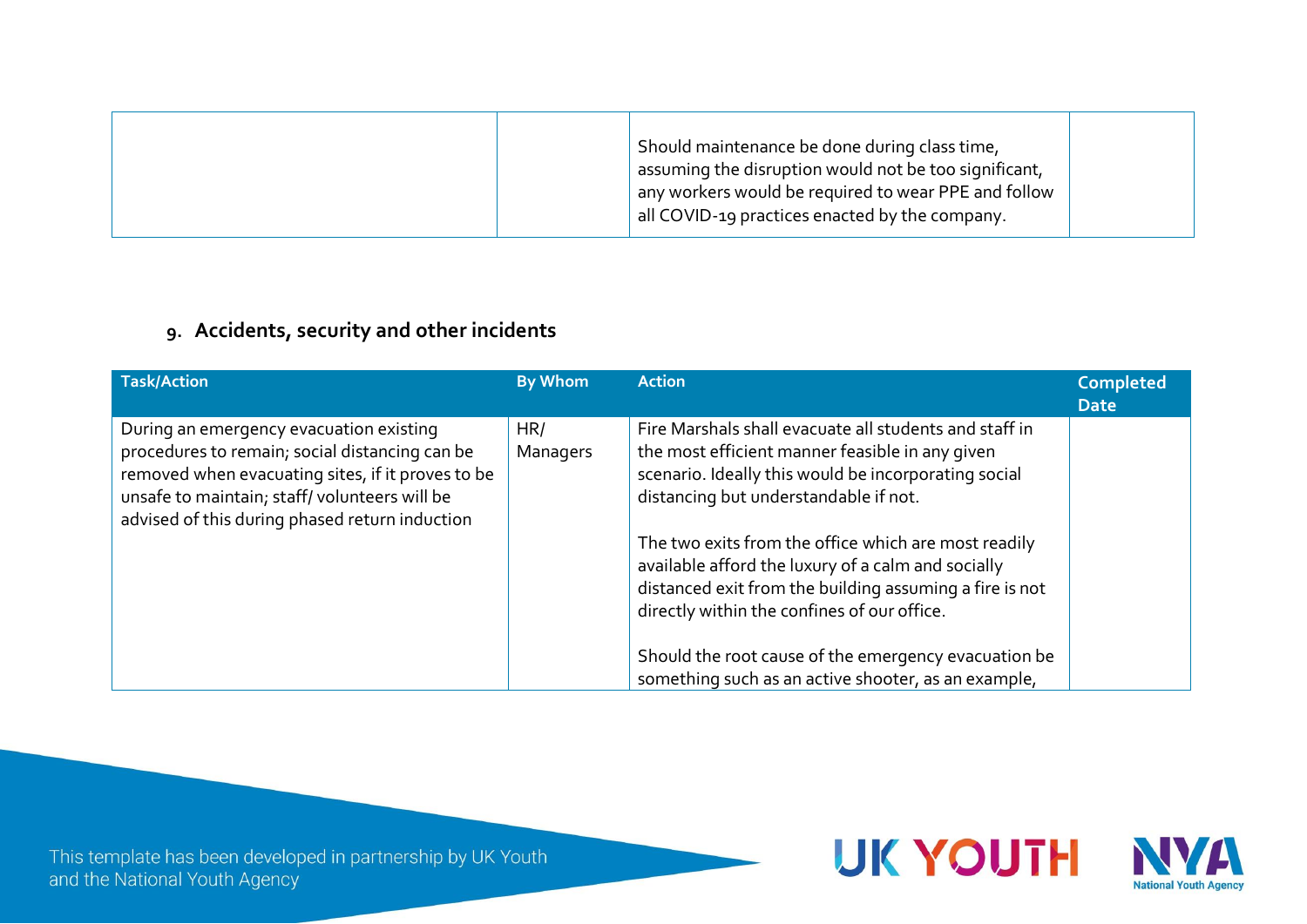|  |  | Should maintenance be done during class time,<br>assuming the disruption would not be too significant,<br>$^{\prime}$ any workers would be required to wear PPE and follow<br>all COVID-19 practices enacted by the company. |  |
|--|--|------------------------------------------------------------------------------------------------------------------------------------------------------------------------------------------------------------------------------|--|
|--|--|------------------------------------------------------------------------------------------------------------------------------------------------------------------------------------------------------------------------------|--|

# **9. Accidents, security and other incidents**

| <b>Task/Action</b>                                                                                                                                                                                                                               | <b>By Whom</b>  | <b>Action</b>                                                                                                                                                                                                        | <b>Completed</b><br><b>Date</b> |
|--------------------------------------------------------------------------------------------------------------------------------------------------------------------------------------------------------------------------------------------------|-----------------|----------------------------------------------------------------------------------------------------------------------------------------------------------------------------------------------------------------------|---------------------------------|
| During an emergency evacuation existing<br>procedures to remain; social distancing can be<br>removed when evacuating sites, if it proves to be<br>unsafe to maintain; staff/volunteers will be<br>advised of this during phased return induction | HR/<br>Managers | Fire Marshals shall evacuate all students and staff in<br>the most efficient manner feasible in any given<br>scenario. Ideally this would be incorporating social<br>distancing but understandable if not.           |                                 |
|                                                                                                                                                                                                                                                  |                 | The two exits from the office which are most readily<br>available afford the luxury of a calm and socially<br>distanced exit from the building assuming a fire is not<br>directly within the confines of our office. |                                 |
|                                                                                                                                                                                                                                                  |                 | Should the root cause of the emergency evacuation be<br>something such as an active shooter, as an example,                                                                                                          |                                 |



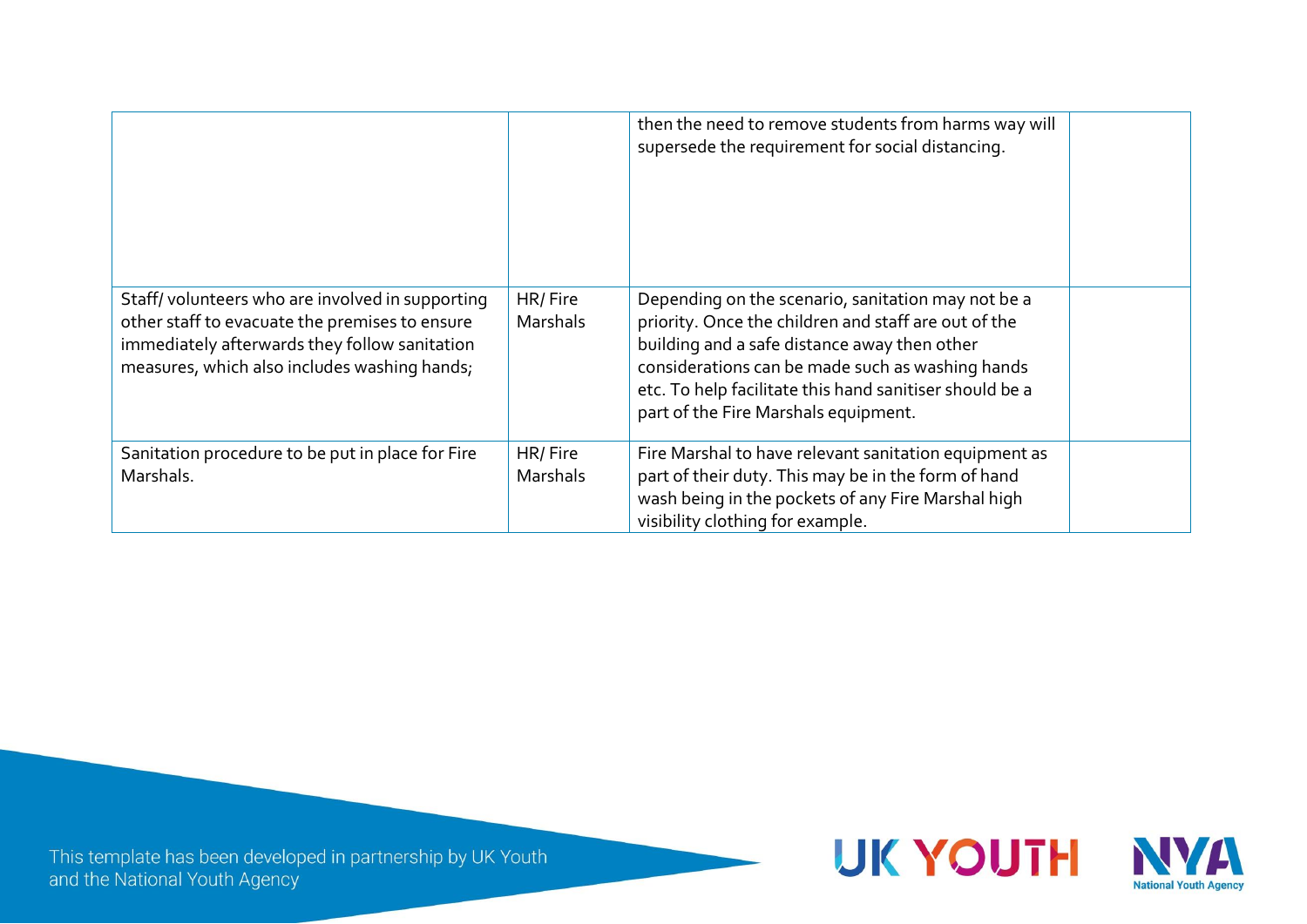|                                                                                                                                                                                                    |                     | then the need to remove students from harms way will<br>supersede the requirement for social distancing.                                                                                                                                                                                                          |  |
|----------------------------------------------------------------------------------------------------------------------------------------------------------------------------------------------------|---------------------|-------------------------------------------------------------------------------------------------------------------------------------------------------------------------------------------------------------------------------------------------------------------------------------------------------------------|--|
| Staff/volunteers who are involved in supporting<br>other staff to evacuate the premises to ensure<br>immediately afterwards they follow sanitation<br>measures, which also includes washing hands; | HR/Fire<br>Marshals | Depending on the scenario, sanitation may not be a<br>priority. Once the children and staff are out of the<br>building and a safe distance away then other<br>considerations can be made such as washing hands<br>etc. To help facilitate this hand sanitiser should be a<br>part of the Fire Marshals equipment. |  |
| Sanitation procedure to be put in place for Fire<br>Marshals.                                                                                                                                      | HR/Fire<br>Marshals | Fire Marshal to have relevant sanitation equipment as<br>part of their duty. This may be in the form of hand<br>wash being in the pockets of any Fire Marshal high<br>visibility clothing for example.                                                                                                            |  |

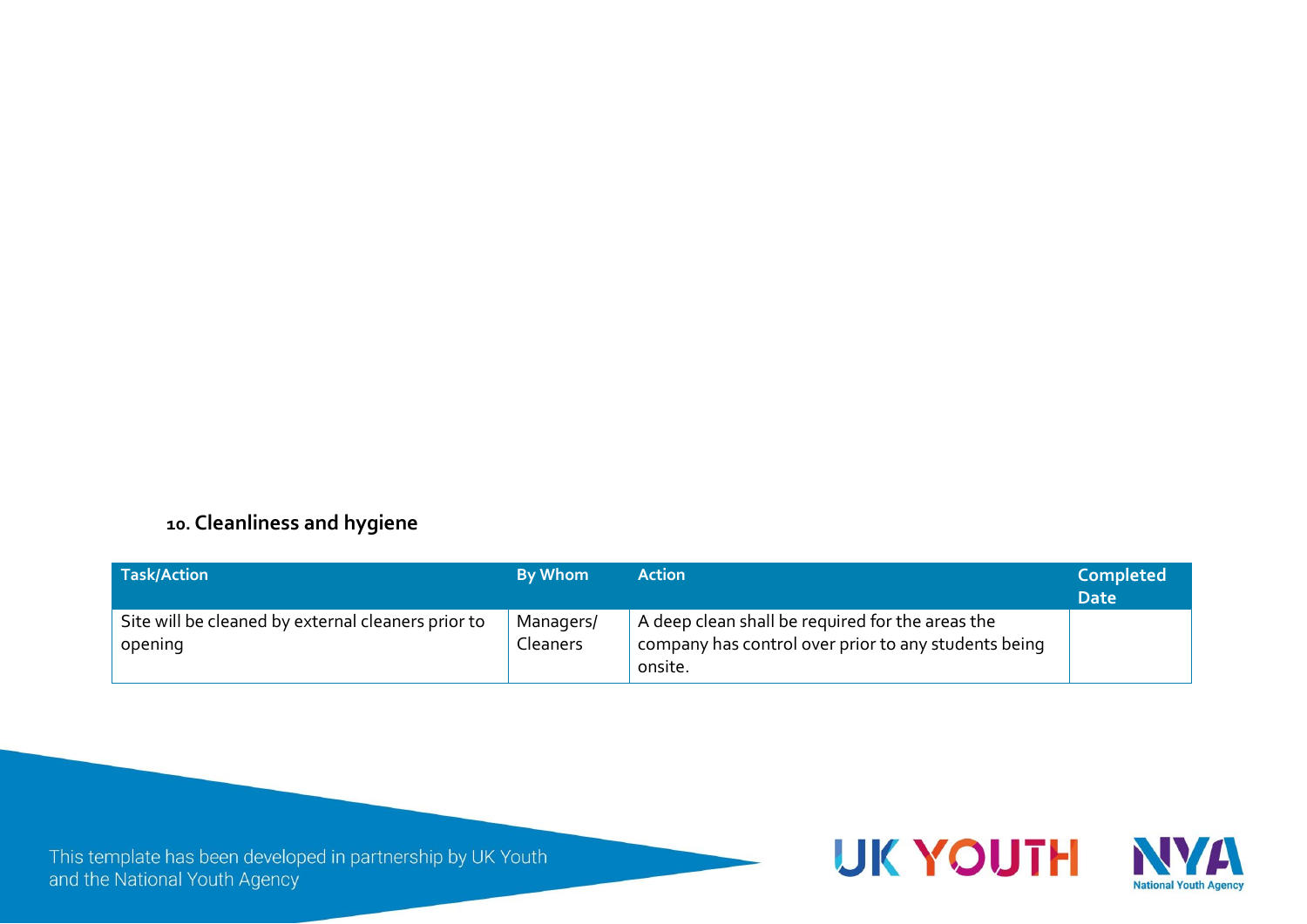### **10. Cleanliness and hygiene**

| <b>Task/Action</b>                                            | <b>By Whom</b>               | Action                                                                                                              | <b>Completed</b><br><b>Date</b> |
|---------------------------------------------------------------|------------------------------|---------------------------------------------------------------------------------------------------------------------|---------------------------------|
| Site will be cleaned by external cleaners prior to<br>opening | Managers/<br><b>Cleaners</b> | A deep clean shall be required for the areas the<br>company has control over prior to any students being<br>onsite. |                                 |

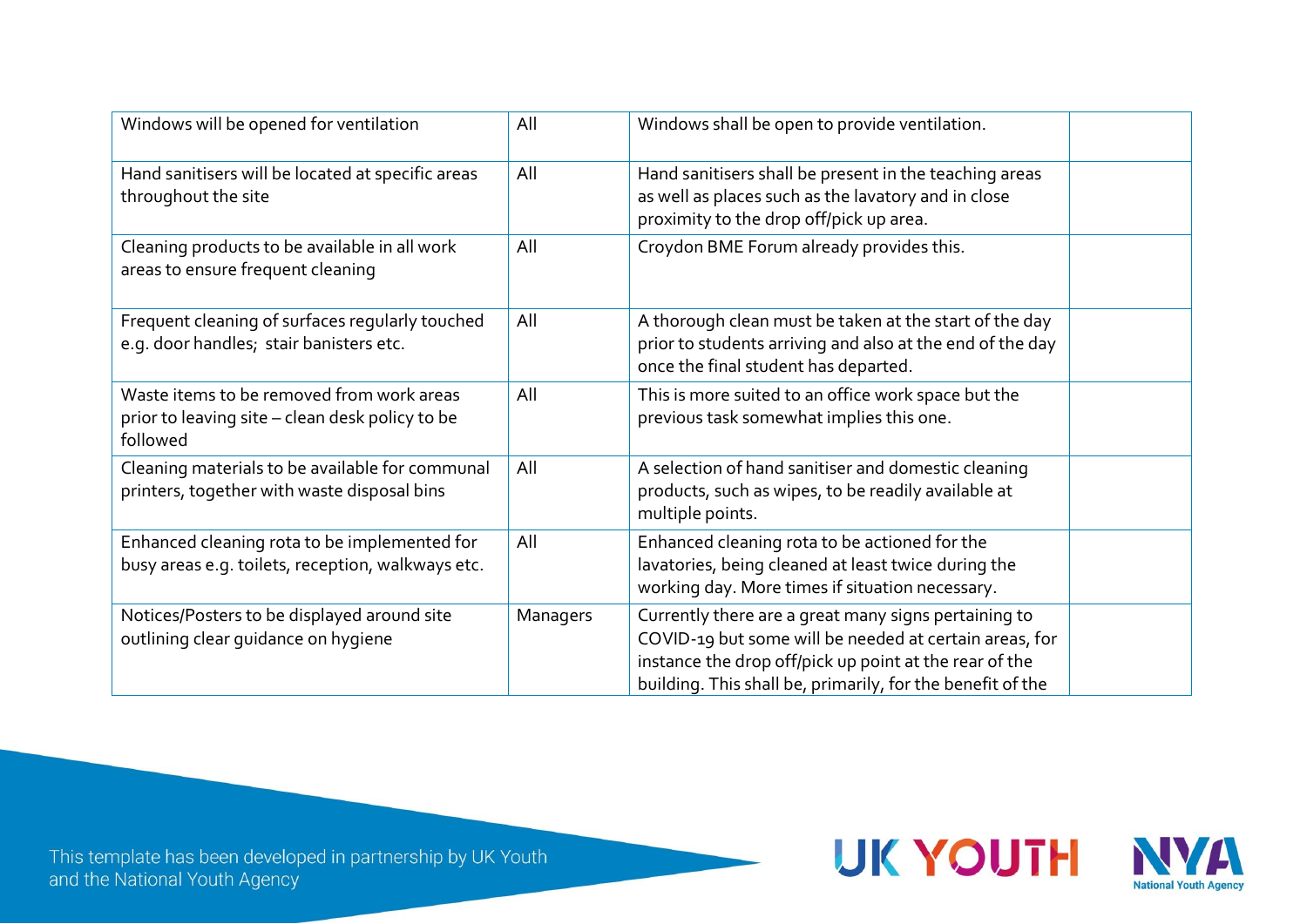| Windows will be opened for ventilation                                                                   | All      | Windows shall be open to provide ventilation.                                                                                                                                                                                          |
|----------------------------------------------------------------------------------------------------------|----------|----------------------------------------------------------------------------------------------------------------------------------------------------------------------------------------------------------------------------------------|
| Hand sanitisers will be located at specific areas<br>throughout the site                                 | All      | Hand sanitisers shall be present in the teaching areas<br>as well as places such as the lavatory and in close<br>proximity to the drop off/pick up area.                                                                               |
| Cleaning products to be available in all work<br>areas to ensure frequent cleaning                       | All      | Croydon BME Forum already provides this.                                                                                                                                                                                               |
| Frequent cleaning of surfaces regularly touched<br>e.g. door handles; stair banisters etc.               | All      | A thorough clean must be taken at the start of the day<br>prior to students arriving and also at the end of the day<br>once the final student has departed.                                                                            |
| Waste items to be removed from work areas<br>prior to leaving site - clean desk policy to be<br>followed | All      | This is more suited to an office work space but the<br>previous task somewhat implies this one.                                                                                                                                        |
| Cleaning materials to be available for communal<br>printers, together with waste disposal bins           | All      | A selection of hand sanitiser and domestic cleaning<br>products, such as wipes, to be readily available at<br>multiple points.                                                                                                         |
| Enhanced cleaning rota to be implemented for<br>busy areas e.g. toilets, reception, walkways etc.        | All      | Enhanced cleaning rota to be actioned for the<br>lavatories, being cleaned at least twice during the<br>working day. More times if situation necessary.                                                                                |
| Notices/Posters to be displayed around site<br>outlining clear guidance on hygiene                       | Managers | Currently there are a great many signs pertaining to<br>COVID-19 but some will be needed at certain areas, for<br>instance the drop off/pick up point at the rear of the<br>building. This shall be, primarily, for the benefit of the |

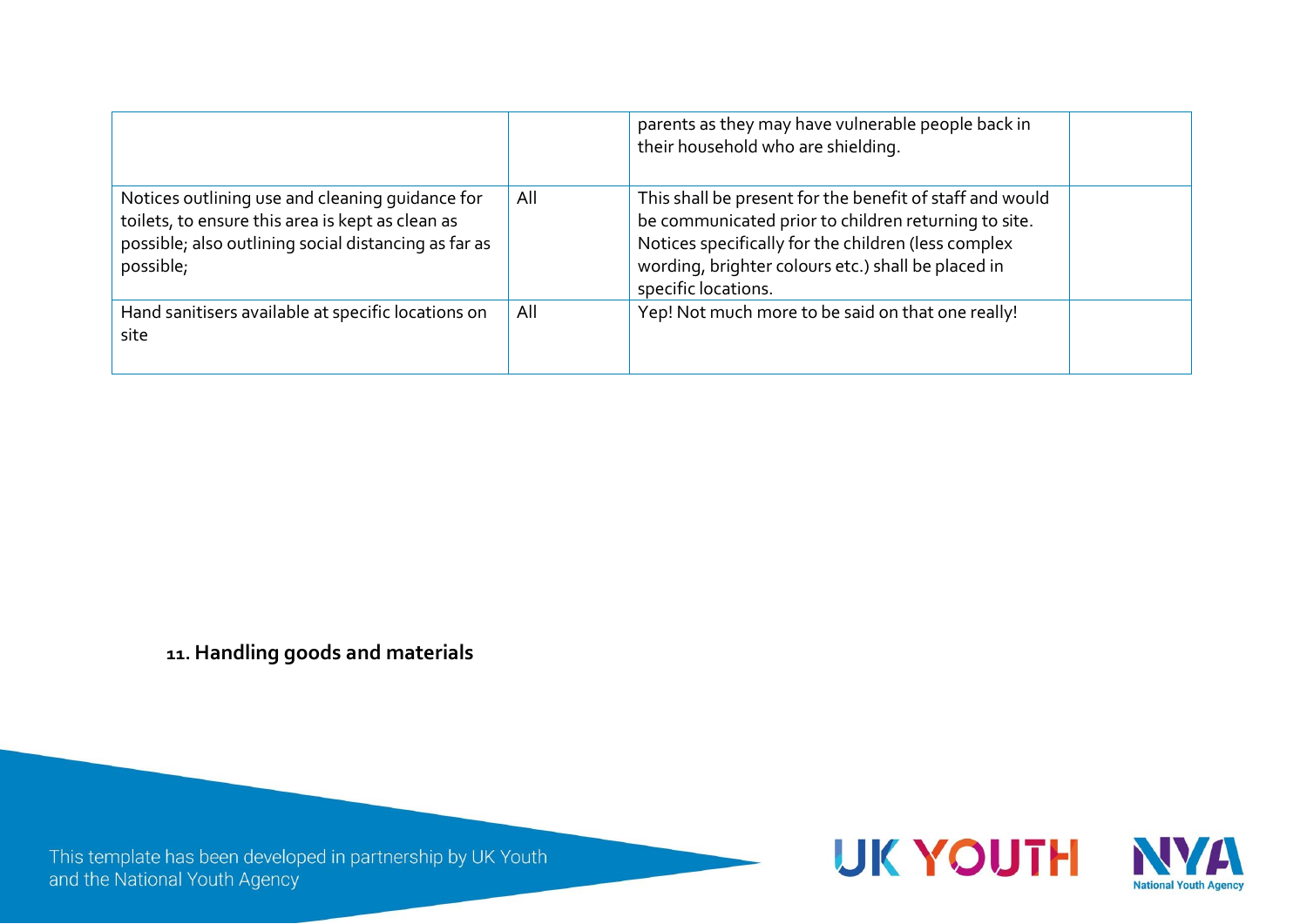|                                                                                                                                                                          |     | parents as they may have vulnerable people back in<br>their household who are shielding.                                                                                                                                                             |  |
|--------------------------------------------------------------------------------------------------------------------------------------------------------------------------|-----|------------------------------------------------------------------------------------------------------------------------------------------------------------------------------------------------------------------------------------------------------|--|
| Notices outlining use and cleaning guidance for<br>toilets, to ensure this area is kept as clean as<br>possible; also outlining social distancing as far as<br>possible; | All | This shall be present for the benefit of staff and would<br>be communicated prior to children returning to site.<br>Notices specifically for the children (less complex<br>wording, brighter colours etc.) shall be placed in<br>specific locations. |  |
| Hand sanitisers available at specific locations on<br>site                                                                                                               | All | Yep! Not much more to be said on that one really!                                                                                                                                                                                                    |  |

**11. Handling goods and materials**

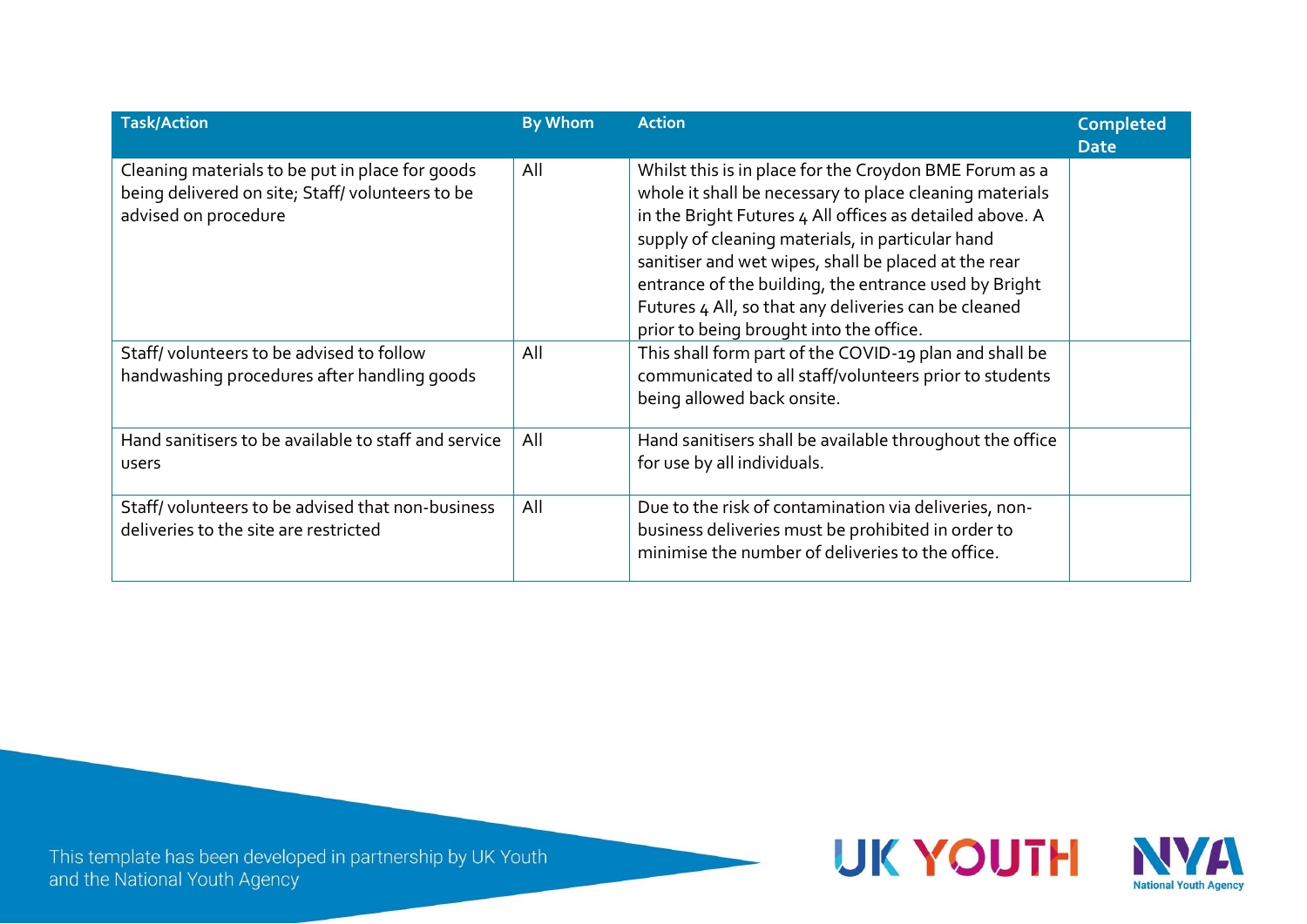| <b>Task/Action</b>                                                                                                         | <b>By Whom</b> | <b>Action</b>                                                                                                                                                                                                                                                                                                                                                                                                                                         | <b>Completed</b><br><b>Date</b> |
|----------------------------------------------------------------------------------------------------------------------------|----------------|-------------------------------------------------------------------------------------------------------------------------------------------------------------------------------------------------------------------------------------------------------------------------------------------------------------------------------------------------------------------------------------------------------------------------------------------------------|---------------------------------|
| Cleaning materials to be put in place for goods<br>being delivered on site; Staff/volunteers to be<br>advised on procedure | All            | Whilst this is in place for the Croydon BME Forum as a<br>whole it shall be necessary to place cleaning materials<br>in the Bright Futures 4 All offices as detailed above. A<br>supply of cleaning materials, in particular hand<br>sanitiser and wet wipes, shall be placed at the rear<br>entrance of the building, the entrance used by Bright<br>Futures 4 All, so that any deliveries can be cleaned<br>prior to being brought into the office. |                                 |
| Staff/volunteers to be advised to follow<br>handwashing procedures after handling goods                                    | All            | This shall form part of the COVID-19 plan and shall be<br>communicated to all staff/volunteers prior to students<br>being allowed back onsite.                                                                                                                                                                                                                                                                                                        |                                 |
| Hand sanitisers to be available to staff and service<br>users                                                              | All            | Hand sanitisers shall be available throughout the office<br>for use by all individuals.                                                                                                                                                                                                                                                                                                                                                               |                                 |
| Staff/volunteers to be advised that non-business<br>deliveries to the site are restricted                                  | All            | Due to the risk of contamination via deliveries, non-<br>business deliveries must be prohibited in order to<br>minimise the number of deliveries to the office.                                                                                                                                                                                                                                                                                       |                                 |

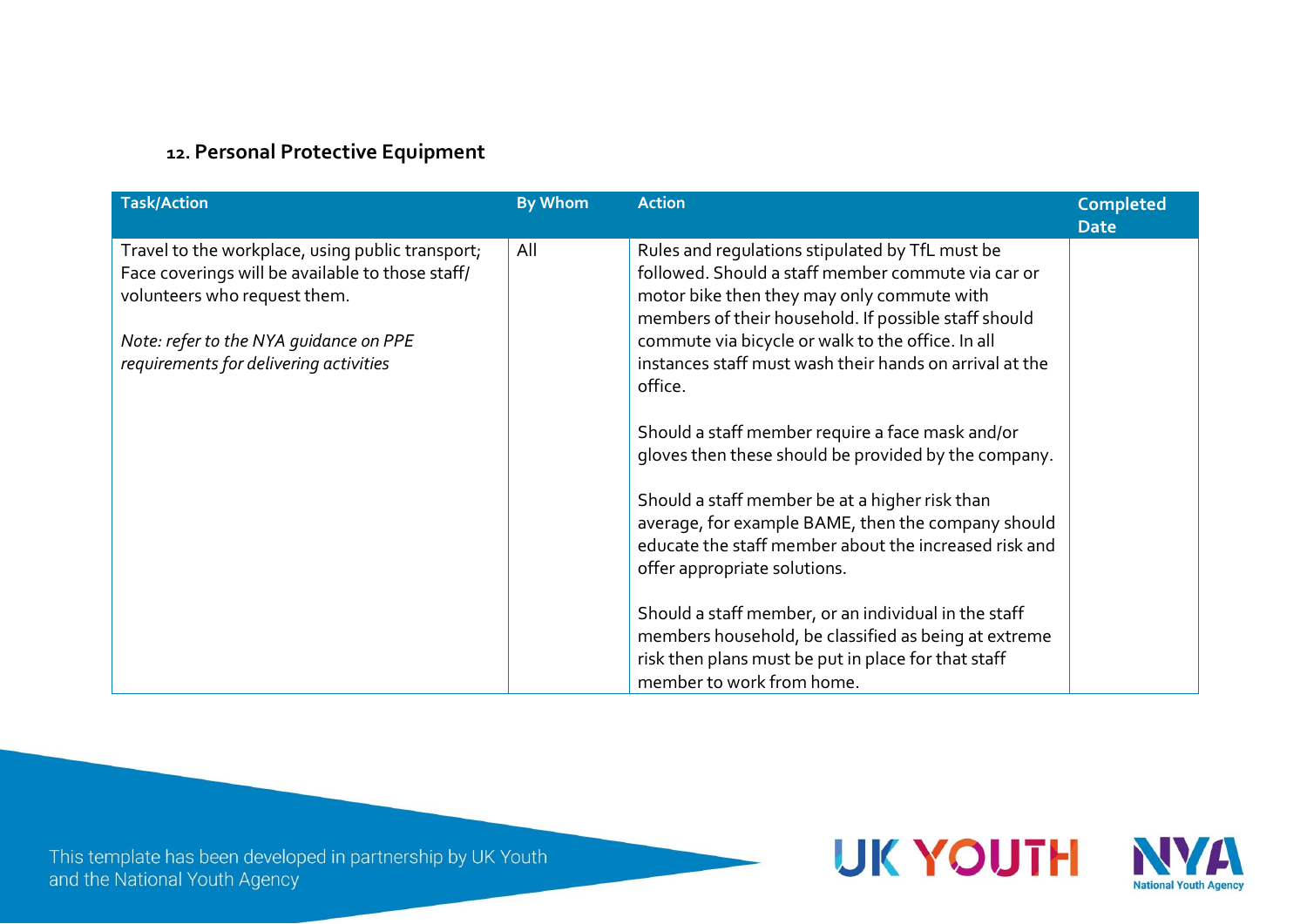### **12. Personal Protective Equipment**

| <b>Task/Action</b>                                                                                                                                                                                                       | <b>By Whom</b> | <b>Action</b>                                                                                                                                                                                                                                                                                                                                                                                                                                                                                                                                                                                                                                                                                                                                                                                                                                           | <b>Completed</b><br><b>Date</b> |
|--------------------------------------------------------------------------------------------------------------------------------------------------------------------------------------------------------------------------|----------------|---------------------------------------------------------------------------------------------------------------------------------------------------------------------------------------------------------------------------------------------------------------------------------------------------------------------------------------------------------------------------------------------------------------------------------------------------------------------------------------------------------------------------------------------------------------------------------------------------------------------------------------------------------------------------------------------------------------------------------------------------------------------------------------------------------------------------------------------------------|---------------------------------|
| Travel to the workplace, using public transport;<br>Face coverings will be available to those staff/<br>volunteers who request them.<br>Note: refer to the NYA guidance on PPE<br>requirements for delivering activities | All            | Rules and regulations stipulated by TfL must be<br>followed. Should a staff member commute via car or<br>motor bike then they may only commute with<br>members of their household. If possible staff should<br>commute via bicycle or walk to the office. In all<br>instances staff must wash their hands on arrival at the<br>office.<br>Should a staff member require a face mask and/or<br>gloves then these should be provided by the company.<br>Should a staff member be at a higher risk than<br>average, for example BAME, then the company should<br>educate the staff member about the increased risk and<br>offer appropriate solutions.<br>Should a staff member, or an individual in the staff<br>members household, be classified as being at extreme<br>risk then plans must be put in place for that staff<br>member to work from home. |                                 |

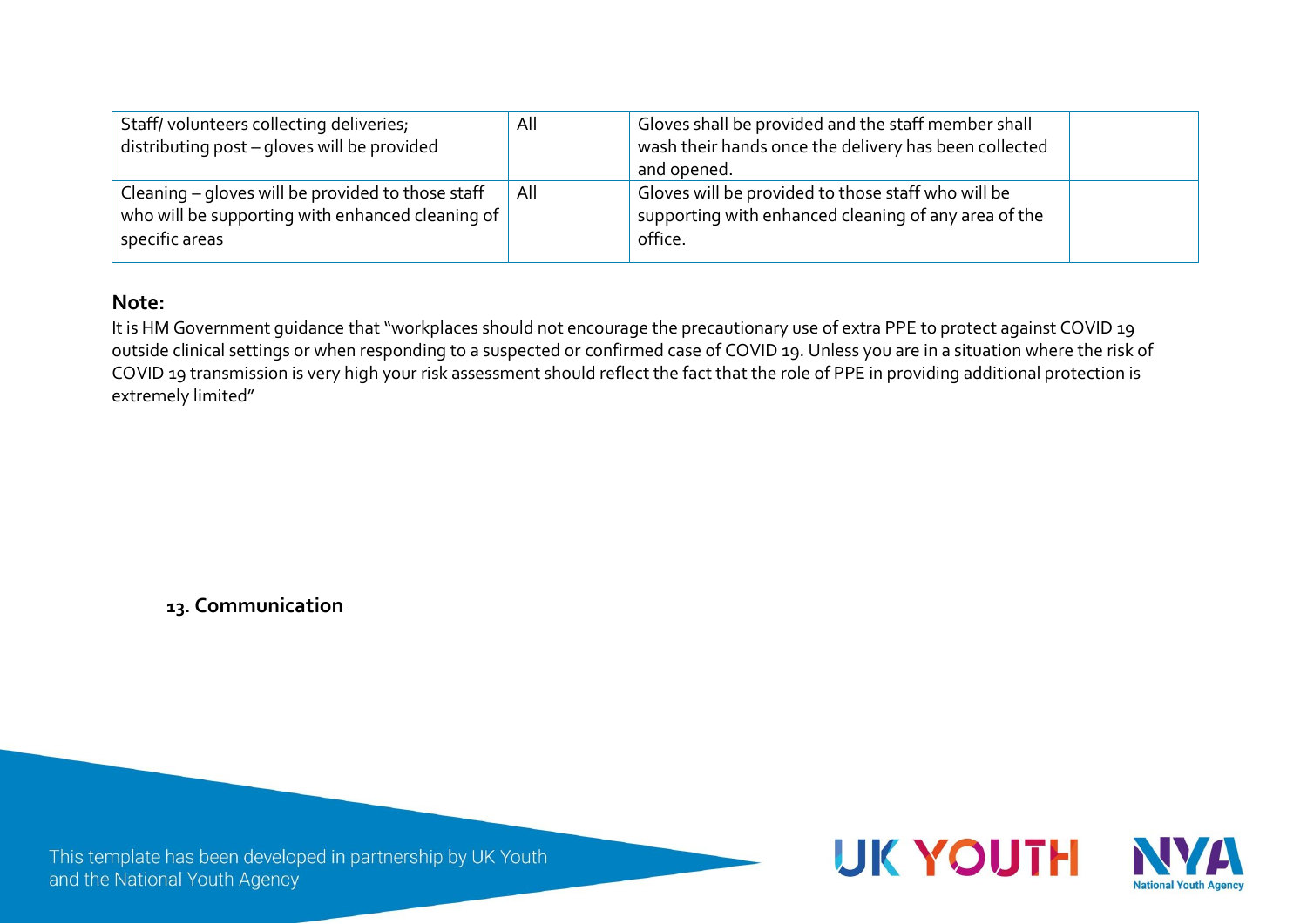| Staff/volunteers collecting deliveries;<br>distributing post - gloves will be provided                                      | All | Gloves shall be provided and the staff member shall<br>wash their hands once the delivery has been collected<br>and opened. |  |
|-----------------------------------------------------------------------------------------------------------------------------|-----|-----------------------------------------------------------------------------------------------------------------------------|--|
| Cleaning – gloves will be provided to those staff<br>who will be supporting with enhanced cleaning of $ $<br>specific areas | All | Gloves will be provided to those staff who will be<br>supporting with enhanced cleaning of any area of the<br>office.       |  |

#### **Note:**

It is HM Government quidance that "workplaces should not encourage the precautionary use of extra PPE to protect against COVID 19 outside clinical settings or when responding to a suspected or confirmed case of COVID 19. Unless you are in a situation where the risk of COVID 19 transmission is very high your risk assessment should reflect the fact that the role of PPE in providing additional protection is extremely limited"

**13. Communication**

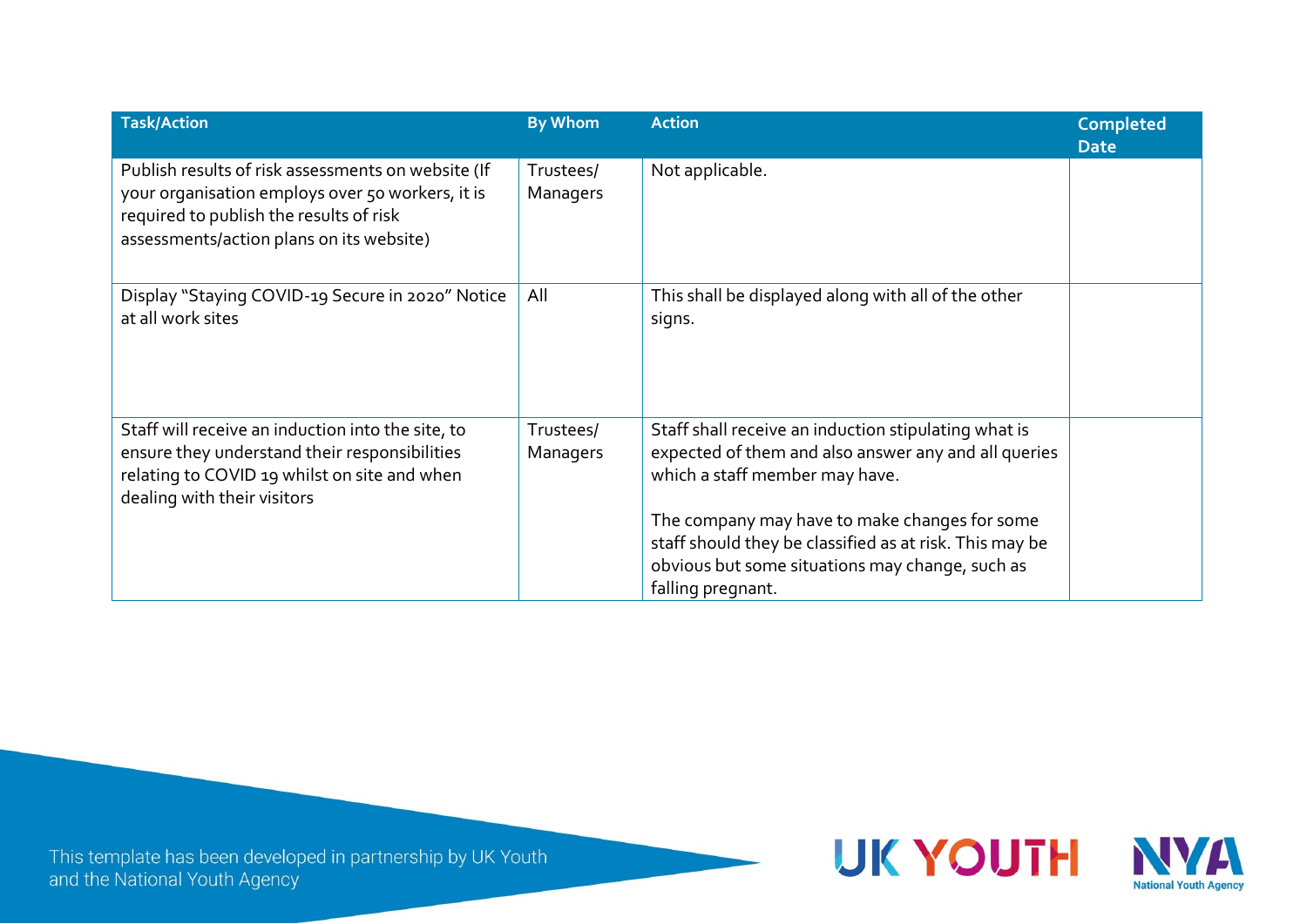| <b>Task/Action</b>                                                                                                                                                                            | <b>By Whom</b>        | <b>Action</b>                                                                                                                                                                                                                                                                                                                      | <b>Completed</b><br><b>Date</b> |
|-----------------------------------------------------------------------------------------------------------------------------------------------------------------------------------------------|-----------------------|------------------------------------------------------------------------------------------------------------------------------------------------------------------------------------------------------------------------------------------------------------------------------------------------------------------------------------|---------------------------------|
| Publish results of risk assessments on website (If<br>your organisation employs over 50 workers, it is<br>required to publish the results of risk<br>assessments/action plans on its website) | Trustees/<br>Managers | Not applicable.                                                                                                                                                                                                                                                                                                                    |                                 |
| Display "Staying COVID-19 Secure in 2020" Notice<br>at all work sites                                                                                                                         | All                   | This shall be displayed along with all of the other<br>signs.                                                                                                                                                                                                                                                                      |                                 |
| Staff will receive an induction into the site, to<br>ensure they understand their responsibilities<br>relating to COVID 19 whilst on site and when<br>dealing with their visitors             | Trustees/<br>Managers | Staff shall receive an induction stipulating what is<br>expected of them and also answer any and all queries<br>which a staff member may have.<br>The company may have to make changes for some<br>staff should they be classified as at risk. This may be<br>obvious but some situations may change, such as<br>falling pregnant. |                                 |

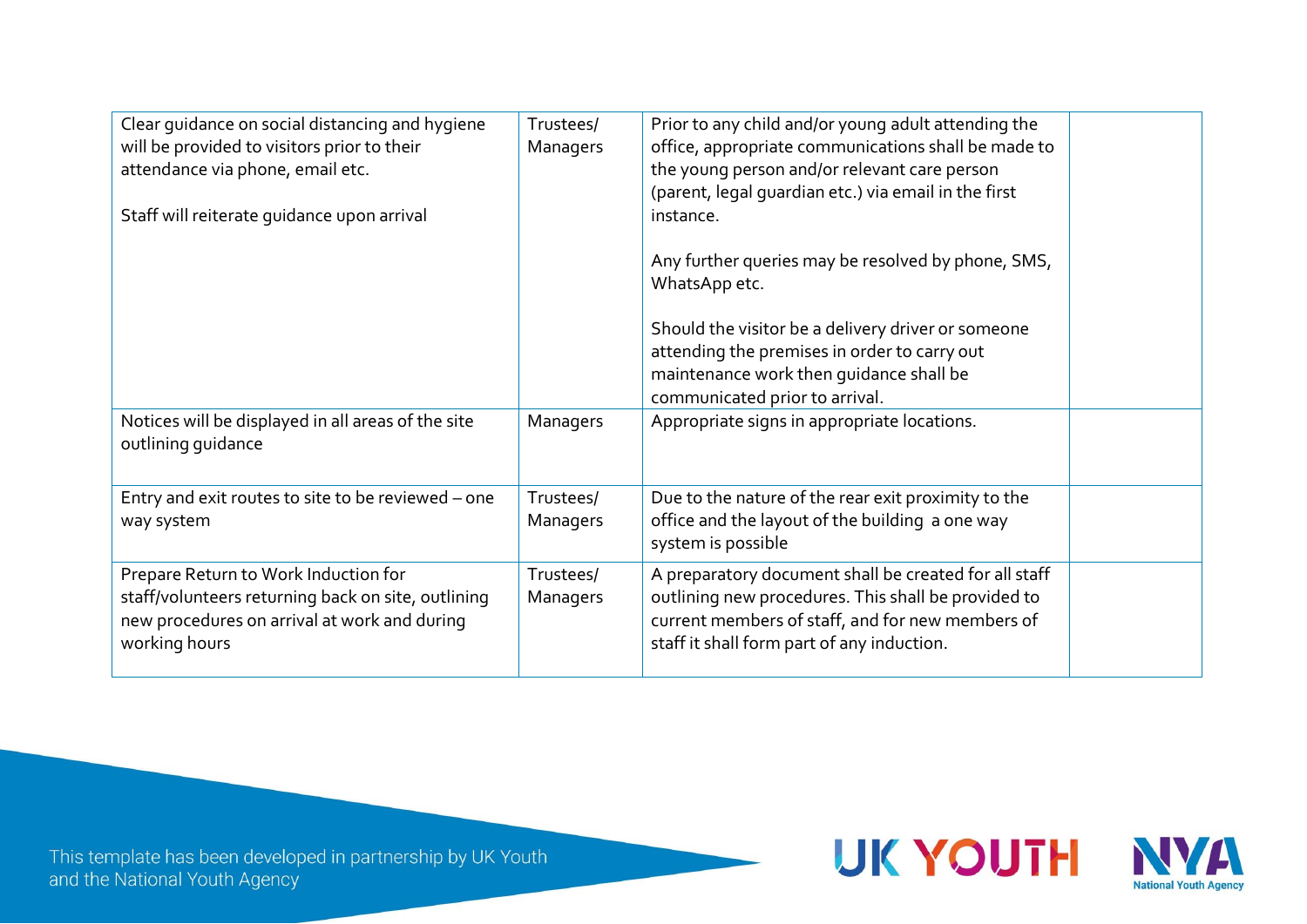| Clear guidance on social distancing and hygiene<br>will be provided to visitors prior to their<br>attendance via phone, email etc.                          | Trustees/<br>Managers | Prior to any child and/or young adult attending the<br>office, appropriate communications shall be made to<br>the young person and/or relevant care person<br>(parent, legal quardian etc.) via email in the first |  |
|-------------------------------------------------------------------------------------------------------------------------------------------------------------|-----------------------|--------------------------------------------------------------------------------------------------------------------------------------------------------------------------------------------------------------------|--|
| Staff will reiterate quidance upon arrival                                                                                                                  |                       | instance.<br>Any further queries may be resolved by phone, SMS,<br>WhatsApp etc.                                                                                                                                   |  |
|                                                                                                                                                             |                       | Should the visitor be a delivery driver or someone<br>attending the premises in order to carry out<br>maintenance work then guidance shall be<br>communicated prior to arrival.                                    |  |
| Notices will be displayed in all areas of the site<br>outlining guidance                                                                                    | Managers              | Appropriate signs in appropriate locations.                                                                                                                                                                        |  |
| Entry and exit routes to site to be reviewed - one<br>way system                                                                                            | Trustees/<br>Managers | Due to the nature of the rear exit proximity to the<br>office and the layout of the building a one way<br>system is possible                                                                                       |  |
| Prepare Return to Work Induction for<br>staff/volunteers returning back on site, outlining<br>new procedures on arrival at work and during<br>working hours | Trustees/<br>Managers | A preparatory document shall be created for all staff<br>outlining new procedures. This shall be provided to<br>current members of staff, and for new members of<br>staff it shall form part of any induction.     |  |